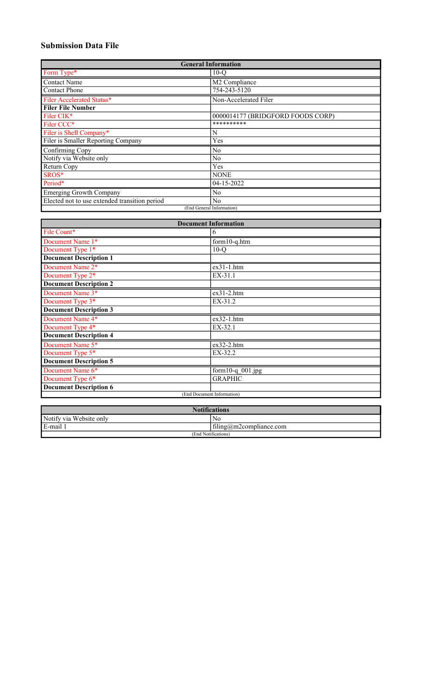# **Submission Data File**

| <b>General Information</b>                    |                                   |  |  |  |  |  |
|-----------------------------------------------|-----------------------------------|--|--|--|--|--|
| Form Type*                                    | $10-°$                            |  |  |  |  |  |
| <b>Contact Name</b>                           | M2 Compliance                     |  |  |  |  |  |
| <b>Contact Phone</b>                          | 754-243-5120                      |  |  |  |  |  |
| Filer Accelerated Status*                     | Non-Accelerated Filer             |  |  |  |  |  |
| <b>Filer File Number</b>                      |                                   |  |  |  |  |  |
| Filer CIK*                                    | 0000014177 (BRIDGFORD FOODS CORP) |  |  |  |  |  |
| Filer CCC*                                    | **********                        |  |  |  |  |  |
| Filer is Shell Company*                       | N                                 |  |  |  |  |  |
| Filer is Smaller Reporting Company            | Yes                               |  |  |  |  |  |
| Confirming Copy                               | N <sub>o</sub>                    |  |  |  |  |  |
| Notify via Website only                       | N <sub>o</sub>                    |  |  |  |  |  |
| Return Copy                                   | Yes                               |  |  |  |  |  |
| SROS*                                         | <b>NONE</b>                       |  |  |  |  |  |
| Period*                                       | 04-15-2022                        |  |  |  |  |  |
| <b>Emerging Growth Company</b>                | N <sub>0</sub>                    |  |  |  |  |  |
| Elected not to use extended transition period | N <sub>o</sub>                    |  |  |  |  |  |
|                                               | (End General Information)         |  |  |  |  |  |

| <b>Document Information</b>   |                            |  |  |  |  |  |
|-------------------------------|----------------------------|--|--|--|--|--|
| File Count*                   | 6                          |  |  |  |  |  |
| Document Name 1*              | $form10-q.htm$             |  |  |  |  |  |
| Document Type 1*              | $10-Q$                     |  |  |  |  |  |
| <b>Document Description 1</b> |                            |  |  |  |  |  |
| Document Name 2*              | $ex31-1.htm$               |  |  |  |  |  |
| Document Type 2*              | EX-31.1                    |  |  |  |  |  |
| <b>Document Description 2</b> |                            |  |  |  |  |  |
| Document Name 3*              | $ex31-2.htm$               |  |  |  |  |  |
| Document Type 3*              | EX-31.2                    |  |  |  |  |  |
| <b>Document Description 3</b> |                            |  |  |  |  |  |
| Document Name 4*              | $ex32-1.htm$               |  |  |  |  |  |
| Document Type 4*              | EX-32.1                    |  |  |  |  |  |
| <b>Document Description 4</b> |                            |  |  |  |  |  |
| Document Name 5*              | $ex32-2.htm$               |  |  |  |  |  |
| Document Type 5*              | EX-32.2                    |  |  |  |  |  |
| <b>Document Description 5</b> |                            |  |  |  |  |  |
| Document Name 6*              | form $10 - q_001$ .jpg     |  |  |  |  |  |
| Document Type 6*              | <b>GRAPHIC</b>             |  |  |  |  |  |
| <b>Document Description 6</b> |                            |  |  |  |  |  |
|                               | (End Document Information) |  |  |  |  |  |

| <b>Notifications</b>    |                         |  |  |  |  |  |  |
|-------------------------|-------------------------|--|--|--|--|--|--|
| Notify via Website only | No                      |  |  |  |  |  |  |
| $E-mail.$               | filing@m2compliance.com |  |  |  |  |  |  |
| (End Notifications)     |                         |  |  |  |  |  |  |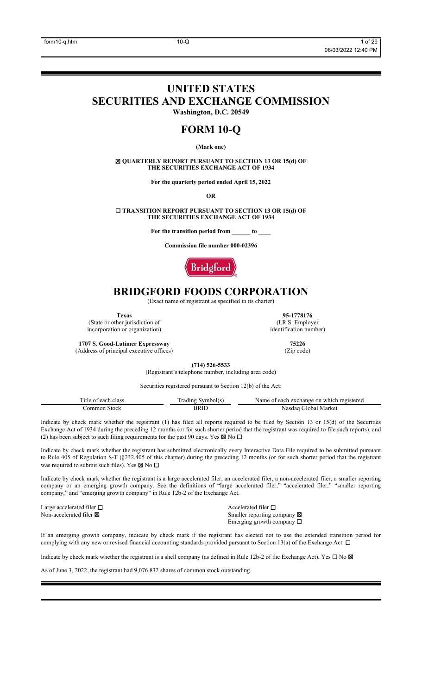# **UNITED STATES SECURITIES AND EXCHANGE COMMISSION**

**Washington, D.C. 20549**

# **FORM 10-Q**

#### **(Mark one)**

☒ **QUARTERLY REPORT PURSUANT TO SECTION 13 OR 15(d) OF THE SECURITIES EXCHANGE ACT OF 1934**

**For the quarterly period ended April 15, 2022**

**OR**

☐ **TRANSITION REPORT PURSUANT TO SECTION 13 OR 15(d) OF THE SECURITIES EXCHANGE ACT OF 1934**

**For the transition period from \_\_\_\_\_\_ to \_\_\_\_**

**Commission file number 000-02396**



# **BRIDGFORD FOODS CORPORATION**

(Exact name of registrant as specified in its charter)

(State or other jurisdiction of  $(IR.S.$  Employer incorporation or organization) incorporation or organization)

**Texas** 95-1778176<br>ther jurisdiction of (I.R.S. Employer)

**1707 S. Good-Latimer Expressway 75226**<br>
Address of principal executive offices) (Zip code) (2ip code) (Address of principal executive offices)

**(714) 526-5533** (Registrant's telephone number, including area code)

Securities registered pursuant to Section 12(b) of the Act:

| elass<br>. each<br>വ | $    -$<br>ınc | i exchange on which registered<br>Name<br>each .<br>വ |
|----------------------|----------------|-------------------------------------------------------|
| .ommor<br>Stock      | кк             | Market<br>iloha<br>Nasdag                             |

Indicate by check mark whether the registrant (1) has filed all reports required to be filed by Section 13 or 15(d) of the Securities Exchange Act of 1934 during the preceding 12 months (or for such shorter period that the registrant was required to file such reports), and (2) has been subject to such filing requirements for the past 90 days. Yes  $\boxtimes$  No  $\Box$ 

Indicate by check mark whether the registrant has submitted electronically every Interactive Data File required to be submitted pursuant to Rule 405 of Regulation S-T (§232.405 of this chapter) during the preceding 12 months (or for such shorter period that the registrant was required to submit such files). Yes  $\boxtimes$  No  $\Box$ 

Indicate by check mark whether the registrant is a large accelerated filer, an accelerated filer, a non-accelerated filer, a smaller reporting company or an emerging growth company. See the definitions of "large accelerated filer," "accelerated filer," "smaller reporting company," and "emerging growth company" in Rule 12b-2 of the Exchange Act.

Large accelerated filer □<br>
Non-accelerated filer **□**<br>
Smaller reporting compared filer ■<br>
Smaller reporting compared filer ■

Smaller reporting company  $\boxtimes$ Emerging growth company  $\Box$ 

If an emerging growth company, indicate by check mark if the registrant has elected not to use the extended transition period for complying with any new or revised financial accounting standards provided pursuant to Section 13(a) of the Exchange Act.  $\Box$ 

Indicate by check mark whether the registrant is a shell company (as defined in Rule 12b-2 of the Exchange Act). Yes  $\Box$  No  $\boxtimes$ 

As of June 3, 2022, the registrant had 9,076,832 shares of common stock outstanding.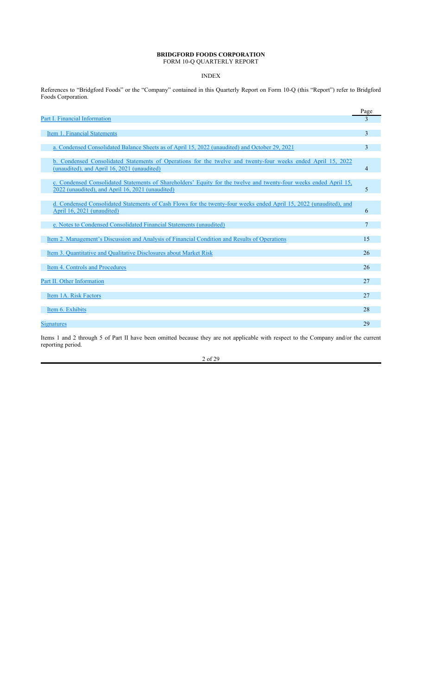#### **BRIDGFORD FOODS CORPORATION** FORM 10-Q QUARTERLY REPORT

## INDEX

References to "Bridgford Foods" or the "Company" contained in this Quarterly Report on Form 10-Q (this "Report") refer to Bridgford Foods Corporation.

|                                                                                                                    | Page            |
|--------------------------------------------------------------------------------------------------------------------|-----------------|
| Part I. Financial Information                                                                                      | 3               |
| Item 1. Financial Statements                                                                                       | 3               |
|                                                                                                                    |                 |
| a. Condensed Consolidated Balance Sheets as of April 15, 2022 (unaudited) and October 29, 2021                     | 3               |
| b. Condensed Consolidated Statements of Operations for the twelve and twenty-four weeks ended April 15, 2022       |                 |
| (unaudited), and April 16, 2021 (unaudited)                                                                        | $\overline{4}$  |
|                                                                                                                    |                 |
| c. Condensed Consolidated Statements of Shareholders' Equity for the twelve and twenty-four weeks ended April 15,  |                 |
| 2022 (unaudited), and April 16, 2021 (unaudited)                                                                   | 5               |
| d. Condensed Consolidated Statements of Cash Flows for the twenty-four weeks ended April 15, 2022 (unaudited), and |                 |
| April 16, 2021 (unaudited)                                                                                         | 6               |
|                                                                                                                    |                 |
| e. Notes to Condensed Consolidated Financial Statements (unaudited)                                                | $7\phantom{.0}$ |
| Item 2. Management's Discussion and Analysis of Financial Condition and Results of Operations                      | 15              |
|                                                                                                                    |                 |
| Item 3. Quantitative and Qualitative Disclosures about Market Risk                                                 | 26              |
|                                                                                                                    |                 |
| Item 4. Controls and Procedures                                                                                    | 26              |
| Part II. Other Information                                                                                         | 27              |
|                                                                                                                    |                 |
| Item 1A. Risk Factors                                                                                              | 27              |
| Item 6. Exhibits                                                                                                   | 28              |
|                                                                                                                    |                 |
| <b>Signatures</b>                                                                                                  | 29              |

Items 1 and 2 through 5 of Part II have been omitted because they are not applicable with respect to the Company and/or the current reporting period.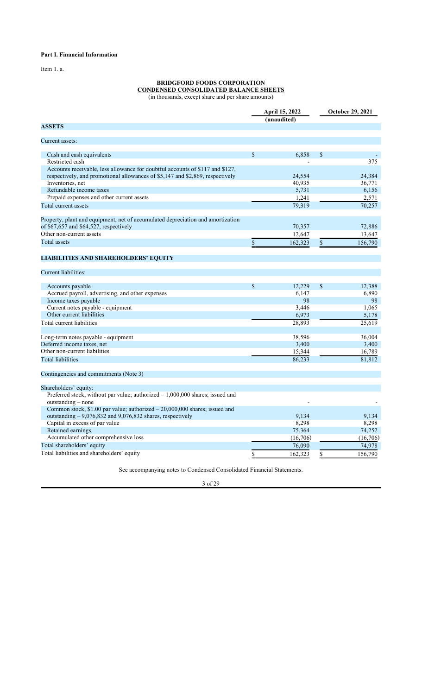## **Part I. Financial Information**

Item 1. a.

#### **BRIDGFORD FOODS CORPORATION CONDENSED CONSOLIDATED BALANCE SHEETS**

(in thousands, except share and per share amounts)

|                                                                                                      | <b>April 15, 2022</b><br>(unaudited) | <b>October 29, 2021</b> |          |  |  |  |
|------------------------------------------------------------------------------------------------------|--------------------------------------|-------------------------|----------|--|--|--|
| <b>ASSETS</b>                                                                                        |                                      |                         |          |  |  |  |
| Current assets:                                                                                      |                                      |                         |          |  |  |  |
| Cash and cash equivalents                                                                            | \$<br>6,858                          | \$                      |          |  |  |  |
| Restricted cash                                                                                      |                                      |                         | 375      |  |  |  |
| Accounts receivable, less allowance for doubtful accounts of \$117 and \$127,                        |                                      |                         |          |  |  |  |
| respectively, and promotional allowances of \$5,147 and \$2,869, respectively                        | 24,554                               |                         | 24,384   |  |  |  |
| Inventories, net                                                                                     | 40,935                               |                         | 36,771   |  |  |  |
| Refundable income taxes                                                                              | 5,731                                |                         | 6,156    |  |  |  |
| Prepaid expenses and other current assets                                                            | 1,241                                |                         | 2,571    |  |  |  |
| Total current assets                                                                                 | 79,319                               |                         | 70,257   |  |  |  |
| Property, plant and equipment, net of accumulated depreciation and amortization                      |                                      |                         |          |  |  |  |
| of $$67,657$ and $$64,527$ , respectively                                                            | 70,357                               |                         | 72,886   |  |  |  |
| Other non-current assets                                                                             | 12,647                               |                         | 13,647   |  |  |  |
| Total assets                                                                                         | \$<br>162,323                        | $\overline{\$}$         | 156,790  |  |  |  |
| <b>LIABILITIES AND SHAREHOLDERS' EQUITY</b>                                                          |                                      |                         |          |  |  |  |
| Current liabilities:                                                                                 |                                      |                         |          |  |  |  |
|                                                                                                      |                                      |                         |          |  |  |  |
| Accounts payable                                                                                     | \$<br>12,229                         | \$                      | 12,388   |  |  |  |
| Accrued payroll, advertising, and other expenses                                                     | 6.147                                |                         | 6,890    |  |  |  |
| Income taxes payable                                                                                 | 98                                   |                         | 98       |  |  |  |
| Current notes payable - equipment                                                                    | 3,446                                |                         | 1,065    |  |  |  |
| Other current liabilities                                                                            | 6,973                                |                         | 5,178    |  |  |  |
| Total current liabilities                                                                            | 28,893                               |                         | 25,619   |  |  |  |
| Long-term notes payable - equipment                                                                  | 38,596                               |                         | 36,004   |  |  |  |
| Deferred income taxes, net                                                                           | 3,400                                |                         | 3,400    |  |  |  |
| Other non-current liabilities                                                                        | 15,344                               |                         | 16,789   |  |  |  |
| <b>Total liabilities</b>                                                                             | 86,233                               |                         | 81.812   |  |  |  |
| Contingencies and commitments (Note 3)                                                               |                                      |                         |          |  |  |  |
| Shareholders' equity:                                                                                |                                      |                         |          |  |  |  |
| Preferred stock, without par value; authorized $-1,000,000$ shares; issued and<br>outstanding - none |                                      |                         |          |  |  |  |
| Common stock, \$1.00 par value; authorized $-20,000,000$ shares; issued and                          |                                      |                         |          |  |  |  |
| outstanding $-9,076,832$ and $9,076,832$ shares, respectively                                        | 9,134                                |                         | 9,134    |  |  |  |
| Capital in excess of par value                                                                       | 8,298                                |                         | 8,298    |  |  |  |
| Retained earnings                                                                                    | 75,364                               |                         | 74,252   |  |  |  |
| Accumulated other comprehensive loss                                                                 | (16,706)                             |                         | (16,706) |  |  |  |
| Total shareholders' equity                                                                           | 76,090                               |                         | 74,978   |  |  |  |
| Total liabilities and shareholders' equity                                                           | \$<br>162,323                        | \$                      | 156,790  |  |  |  |

See accompanying notes to Condensed Consolidated Financial Statements.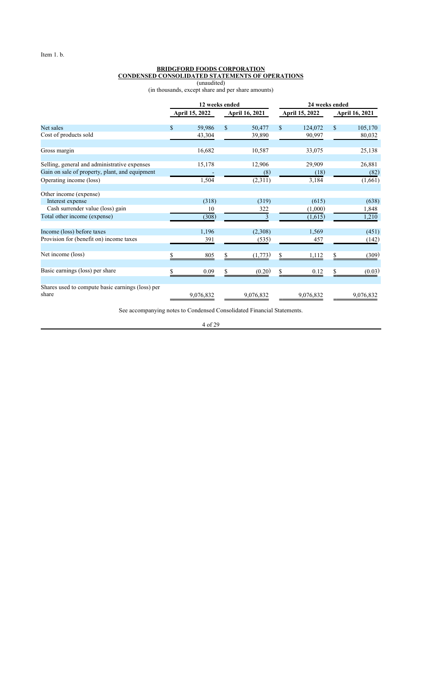#### **BRIDGFORD FOODS CORPORATION CONDENSED CONSOLIDATED STATEMENTS OF OPERATIONS** (unaudited)

(in thousands, except share and per share amounts)

|                                                           | 12 weeks ended |                |    |                       |                | 24 weeks ended |    |                       |  |  |  |
|-----------------------------------------------------------|----------------|----------------|----|-----------------------|----------------|----------------|----|-----------------------|--|--|--|
|                                                           |                | April 15, 2022 |    | <b>April 16, 2021</b> | April 15, 2022 |                |    | <b>April 16, 2021</b> |  |  |  |
| Net sales                                                 | \$.            | 59,986         | \$ | 50,477                | $\mathbb{S}$   | 124,072        | \$ | 105,170               |  |  |  |
| Cost of products sold                                     |                | 43,304         |    | 39,890                |                | 90,997         |    | 80,032                |  |  |  |
| Gross margin                                              |                | 16,682         |    | 10,587                |                | 33,075         |    | 25,138                |  |  |  |
| Selling, general and administrative expenses              |                | 15,178         |    | 12,906                |                | 29,909         |    | 26,881                |  |  |  |
| Gain on sale of property, plant, and equipment            |                |                |    | (8)                   |                | (18)           |    | (82)                  |  |  |  |
| Operating income (loss)                                   |                | 1,504          |    | (2,311)               |                | 3,184          |    | (1,661)               |  |  |  |
| Other income (expense)                                    |                |                |    |                       |                |                |    |                       |  |  |  |
| Interest expense                                          |                | (318)          |    | (319)                 |                | (615)          |    | (638)                 |  |  |  |
| Cash surrender value (loss) gain                          |                | 10             |    | 322                   |                | (1,000)        |    | 1,848                 |  |  |  |
| Total other income (expense)                              |                | (308)          |    | 3                     |                | (1,615)        |    | 1,210                 |  |  |  |
| Income (loss) before taxes                                |                | 1,196          |    | (2,308)               |                | 1,569          |    | (451)                 |  |  |  |
| Provision for (benefit on) income taxes                   |                | 391            |    | (535)                 |                | 457            |    | (142)                 |  |  |  |
| Net income (loss)                                         |                | 805            |    | (1,773)               | \$             | 1,112          |    | (309)                 |  |  |  |
| Basic earnings (loss) per share                           |                | 0.09           |    | (0.20)                |                | 0.12           | \$ | (0.03)                |  |  |  |
| Shares used to compute basic earnings (loss) per<br>share |                | 9,076,832      |    | 9,076,832             |                | 9,076,832      |    | 9,076,832             |  |  |  |

See accompanying notes to Condensed Consolidated Financial Statements.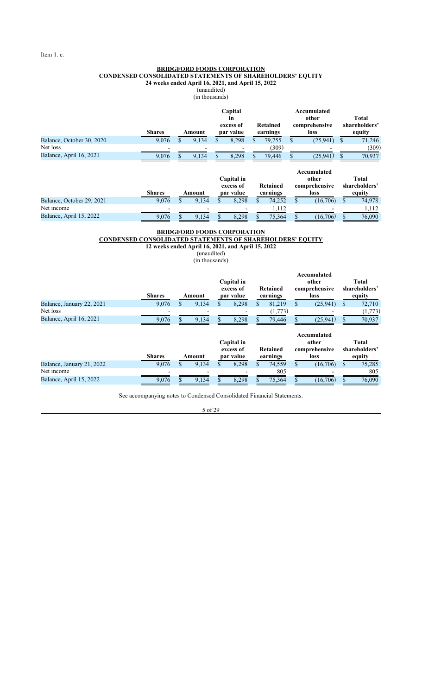## **BRIDGFORD FOODS CORPORATION CONDENSED CONSOLIDATED STATEMENTS OF SHAREHOLDERS' EQUITY 24 weeks ended April 16, 2021, and April 15, 2022** (unaudited)

(in thousands)

|                           | <b>Shares</b> | Amount | Capital<br>m<br>excess of<br>par value |  | Retained |  | Accumulated<br>other<br>comprehensive<br>loss<br>earnings |        | <b>Total</b><br>shareholders'<br>equity |  |
|---------------------------|---------------|--------|----------------------------------------|--|----------|--|-----------------------------------------------------------|--------|-----------------------------------------|--|
| Balance, October 30, 2020 | 9.076         | 9.134  | 8.298                                  |  | 79,755   |  | (25,941)                                                  | 71,246 |                                         |  |
| Net loss                  |               |        | $\overline{\phantom{0}}$               |  | (309)    |  |                                                           | (309)  |                                         |  |
| Balance, April 16, 2021   | 9.076         | 9.134  | 8.298                                  |  | 79.446   |  | (25.941)                                                  | 70.937 |                                         |  |

|                           |                          |                     |  |                         |                      |        | Accumulated |                                |  |                                         |  |  |  |
|---------------------------|--------------------------|---------------------|--|-------------------------|----------------------|--------|-------------|--------------------------------|--|-----------------------------------------|--|--|--|
|                           | <b>Shares</b>            | excess of<br>Amount |  | Capital in<br>par value | Retained<br>earnings |        |             | other<br>comprehensive<br>loss |  | <b>Total</b><br>shareholders'<br>equity |  |  |  |
| Balance, October 29, 2021 | 9.076                    | 9.134               |  | 8.298                   |                      | 74.252 |             | (16,706)                       |  | 74,978                                  |  |  |  |
| Net income                | $\overline{\phantom{0}}$ |                     |  | $\qquad \qquad$         |                      | 1.112  |             | $\overline{\phantom{a}}$       |  | 1.112                                   |  |  |  |
| Balance, April 15, 2022   | 9.076                    | 9.134               |  | 8.298                   |                      | 75,364 |             | (16,706)                       |  | 76,090                                  |  |  |  |

### **BRIDGFORD FOODS CORPORATION CONDENSED CONSOLIDATED STATEMENTS OF SHAREHOLDERS' EQUITY 12 weeks ended April 16, 2021, and April 15, 2022**

(unaudited) (in thousands)

|                           | <b>Shares</b> | Amount | Capital in<br>excess of<br>par value | Retained<br>earnings | Accumulated<br>other<br>comprehensive<br>loss | <b>Total</b><br>shareholders'<br>equity |
|---------------------------|---------------|--------|--------------------------------------|----------------------|-----------------------------------------------|-----------------------------------------|
| Balance, January 22, 2021 | 9,076         | 9,134  | 8,298                                | 81,219               | (25,941)                                      | 72,710                                  |
| Net loss                  |               |        |                                      | (1,773)              |                                               | (1,773)                                 |
| Balance, April 16, 2021   | 9.076         | 9.134  | 8.298                                | 79.446               | (25.941)                                      | 70.937                                  |
|                           |               |        |                                      |                      | <b>Accumulated</b>                            |                                         |

|                           | <b>Shares</b>            | Amount | Capital in<br>excess of<br>par value | Retained<br>earnings | Accumulated<br>other<br>comprehensive<br>loss |           | Total<br>shareholders'<br>equity |
|---------------------------|--------------------------|--------|--------------------------------------|----------------------|-----------------------------------------------|-----------|----------------------------------|
| Balance, January 21, 2022 | 9.076                    | 9.134  | 8.298                                | 74.559               |                                               | (16,706)  | 75,285                           |
| Net income                | $\overline{\phantom{0}}$ |        |                                      | 805                  |                                               |           | 805                              |
| Balance, April 15, 2022   | 9.076                    | 9.134  | 8.298                                | 75.364               |                                               | (16, 706) | 76,090                           |

See accompanying notes to Condensed Consolidated Financial Statements.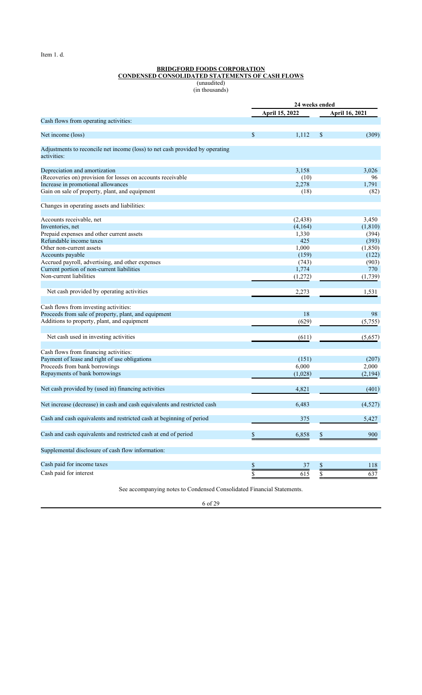#### **BRIDGFORD FOODS CORPORATION CONDENSED CONSOLIDATED STATEMENTS OF CASH FLOWS** (unaudited) (in thousands)

|                                                                                             |    | 24 weeks ended   |             |                |
|---------------------------------------------------------------------------------------------|----|------------------|-------------|----------------|
|                                                                                             |    | April 15, 2022   |             | April 16, 2021 |
| Cash flows from operating activities:                                                       |    |                  |             |                |
| Net income (loss)                                                                           | \$ | 1,112            | \$          | (309)          |
| Adjustments to reconcile net income (loss) to net cash provided by operating<br>activities: |    |                  |             |                |
| Depreciation and amortization                                                               |    | 3,158            |             | 3,026          |
| (Recoveries on) provision for losses on accounts receivable                                 |    | (10)             |             | 96             |
| Increase in promotional allowances                                                          |    | 2,278            |             | 1,791          |
| Gain on sale of property, plant, and equipment                                              |    | (18)             |             | (82)           |
| Changes in operating assets and liabilities:                                                |    |                  |             |                |
| Accounts receivable, net                                                                    |    | (2, 438)         |             | 3,450          |
| Inventories, net                                                                            |    | (4,164)          |             | (1, 810)       |
| Prepaid expenses and other current assets                                                   |    | 1,330            |             | (394)          |
| Refundable income taxes                                                                     |    | 425              |             | (393)          |
| Other non-current assets                                                                    |    | 1,000            |             | (1, 850)       |
| Accounts payable                                                                            |    | (159)            |             | (122)          |
| Accrued payroll, advertising, and other expenses                                            |    | (743)            |             | (903)          |
| Current portion of non-current liabilities                                                  |    | 1,774            |             | 770            |
| Non-current liabilities                                                                     |    | (1,272)          |             | (1,739)        |
|                                                                                             |    |                  |             |                |
| Net cash provided by operating activities                                                   |    | 2,273            |             | 1,531          |
| Cash flows from investing activities:                                                       |    |                  |             |                |
| Proceeds from sale of property, plant, and equipment                                        |    | 18               |             | 98             |
| Additions to property, plant, and equipment                                                 |    | (629)            |             | (5,755)        |
|                                                                                             |    |                  |             |                |
| Net cash used in investing activities                                                       |    | (611)            |             | (5,657)        |
| Cash flows from financing activities:                                                       |    |                  |             |                |
| Payment of lease and right of use obligations                                               |    | (151)            |             | (207)          |
| Proceeds from bank borrowings                                                               |    | 6,000            |             | 2,000          |
| Repayments of bank borrowings                                                               |    | (1,028)          |             | (2,194)        |
|                                                                                             |    |                  |             |                |
| Net cash provided by (used in) financing activities                                         |    | 4,821            |             | (401)          |
| Net increase (decrease) in cash and cash equivalents and restricted cash                    |    | 6,483            |             | (4,527)        |
| Cash and cash equivalents and restricted cash at beginning of period                        |    | 375              |             | 5,427          |
| Cash and cash equivalents and restricted cash at end of period                              | \$ | 6,858            | \$          | 900            |
| Supplemental disclosure of cash flow information:                                           |    |                  |             |                |
| Cash paid for income taxes                                                                  |    |                  |             |                |
|                                                                                             | \$ | 37               | $rac{s}{s}$ | 118            |
| Cash paid for interest                                                                      | \$ | $\overline{615}$ |             | 637            |

See accompanying notes to Condensed Consolidated Financial Statements.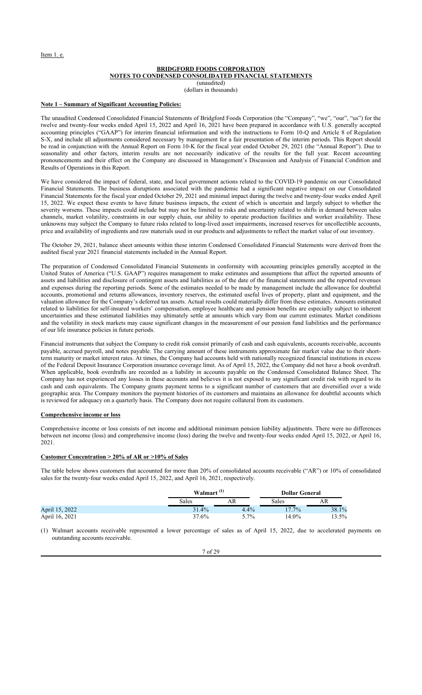## **BRIDGFORD FOODS CORPORATION NOTES TO CONDENSED CONSOLIDATED FINANCIAL STATEMENTS** (unaudited)

(dollars in thousands)

## **Note 1 – Summary of Significant Accounting Policies:**

The unaudited Condensed Consolidated Financial Statements of Bridgford Foods Corporation (the "Company", "we", "our", "us") for the twelve and twenty-four weeks ended April 15, 2022 and April 16, 2021 have been prepared in accordance with U.S. generally accepted accounting principles ("GAAP") for interim financial information and with the instructions to Form 10-Q and Article 8 of Regulation S-X, and include all adjustments considered necessary by management for a fair presentation of the interim periods. This Report should be read in conjunction with the Annual Report on Form 10-K for the fiscal year ended October 29, 2021 (the "Annual Report"). Due to seasonality and other factors, interim results are not necessarily indicative of the results for the full year. Recent accounting pronouncements and their effect on the Company are discussed in Management's Discussion and Analysis of Financial Condition and Results of Operations in this Report.

We have considered the impact of federal, state, and local government actions related to the COVID-19 pandemic on our Consolidated Financial Statements. The business disruptions associated with the pandemic had a significant negative impact on our Consolidated Financial Statements for the fiscal year ended October 29, 2021 and minimal impact during the twelve and twenty-four weeks ended April 15, 2022. We expect these events to have future business impacts, the extent of which is uncertain and largely subject to whether the severity worsens. These impacts could include but may not be limited to risks and uncertainty related to shifts in demand between sales channels, market volatility, constraints in our supply chain, our ability to operate production facilities and worker availability. These unknowns may subject the Company to future risks related to long-lived asset impairments, increased reserves for uncollectible accounts, price and availability of ingredients and raw materials used in our products and adjustments to reflect the market value of our inventory.

The October 29, 2021, balance sheet amounts within these interim Condensed Consolidated Financial Statements were derived from the audited fiscal year 2021 financial statements included in the Annual Report.

The preparation of Condensed Consolidated Financial Statements in conformity with accounting principles generally accepted in the United States of America ("U.S. GAAP") requires management to make estimates and assumptions that affect the reported amounts of assets and liabilities and disclosure of contingent assets and liabilities as of the date of the financial statements and the reported revenues and expenses during the reporting periods. Some of the estimates needed to be made by management include the allowance for doubtful accounts, promotional and returns allowances, inventory reserves, the estimated useful lives of property, plant and equipment, and the valuation allowance for the Company's deferred tax assets. Actual results could materially differ from these estimates. Amounts estimated related to liabilities for self-insured workers' compensation, employee healthcare and pension benefits are especially subject to inherent uncertainties and these estimated liabilities may ultimately settle at amounts which vary from our current estimates. Market conditions and the volatility in stock markets may cause significant changes in the measurement of our pension fund liabilities and the performance of our life insurance policies in future periods.

Financial instruments that subject the Company to credit risk consist primarily of cash and cash equivalents, accounts receivable, accounts payable, accrued payroll, and notes payable. The carrying amount of these instruments approximate fair market value due to their shortterm maturity or market interest rates. At times, the Company had accounts held with nationally recognized financial institutions in excess of the Federal Deposit Insurance Corporation insurance coverage limit. As of April 15, 2022, the Company did not have a book overdraft. When applicable, book overdrafts are recorded as a liability in accounts payable on the Condensed Consolidated Balance Sheet. The Company has not experienced any losses in these accounts and believes it is not exposed to any significant credit risk with regard to its cash and cash equivalents. The Company grants payment terms to a significant number of customers that are diversified over a wide geographic area. The Company monitors the payment histories of its customers and maintains an allowance for doubtful accounts which is reviewed for adequacy on a quarterly basis. The Company does not require collateral from its customers.

## **Comprehensive income or loss**

Comprehensive income or loss consists of net income and additional minimum pension liability adjustments. There were no differences between net income (loss) and comprehensive income (loss) during the twelve and twenty-four weeks ended April 15, 2022, or April 16, 2021.

## **Customer Concentration > 20% of AR or >10% of Sales**

The table below shows customers that accounted for more than 20% of consolidated accounts receivable ("AR") or 10% of consolidated sales for the twenty-four weeks ended April 15, 2022, and April 16, 2021, respectively.

|                | Walmart <sup>(1)</sup> |         | <b>Dollar General</b> |       |  |
|----------------|------------------------|---------|-----------------------|-------|--|
|                | Sales                  | AR      | Sales                 | AR    |  |
| April 15, 2022 | 31.4%                  | $4.4\%$ | 17.7%                 | 38.1% |  |
| April 16, 2021 | 37.6%                  | 5.7%    | 14.0%                 | 13.5% |  |

(1) Walmart accounts receivable represented a lower percentage of sales as of April 15, 2022, due to accelerated payments on outstanding accounts receivable.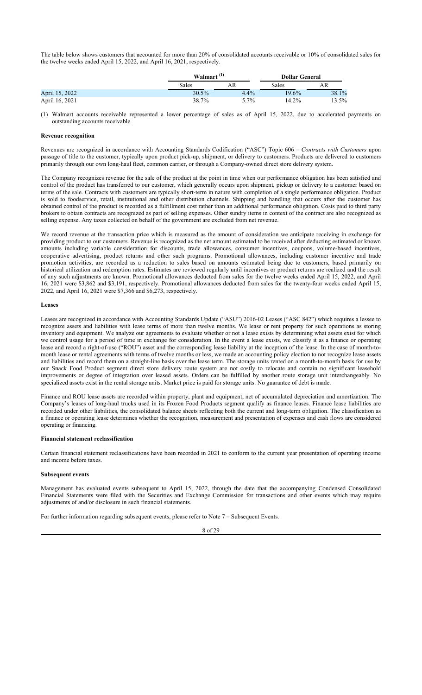The table below shows customers that accounted for more than 20% of consolidated accounts receivable or 10% of consolidated sales for the twelve weeks ended April 15, 2022, and April 16, 2021, respectively.

|                | Walmart <sup>(1)</sup> |         | <b>Dollar General</b> |          |  |  |
|----------------|------------------------|---------|-----------------------|----------|--|--|
|                | Sales                  | AR      | Sales                 | AR       |  |  |
| April 15, 2022 | $30.5\%$               | $4.4\%$ | $19.6\%$              | 38.1%    |  |  |
| April 16, 2021 | 38.7%                  | $5.7\%$ | 14.2%                 | $13.5\%$ |  |  |

(1) Walmart accounts receivable represented a lower percentage of sales as of April 15, 2022, due to accelerated payments on outstanding accounts receivable.

### **Revenue recognition**

Revenues are recognized in accordance with Accounting Standards Codification ("ASC") Topic 606 – *Contracts with Customers* upon passage of title to the customer, typically upon product pick-up, shipment, or delivery to customers. Products are delivered to customers primarily through our own long-haul fleet, common carrier, or through a Company-owned direct store delivery system.

The Company recognizes revenue for the sale of the product at the point in time when our performance obligation has been satisfied and control of the product has transferred to our customer, which generally occurs upon shipment, pickup or delivery to a customer based on terms of the sale. Contracts with customers are typically short-term in nature with completion of a single performance obligation. Product is sold to foodservice, retail, institutional and other distribution channels. Shipping and handling that occurs after the customer has obtained control of the product is recorded as a fulfillment cost rather than an additional performance obligation. Costs paid to third party brokers to obtain contracts are recognized as part of selling expenses. Other sundry items in context of the contract are also recognized as selling expense. Any taxes collected on behalf of the government are excluded from net revenue.

We record revenue at the transaction price which is measured as the amount of consideration we anticipate receiving in exchange for providing product to our customers. Revenue is recognized as the net amount estimated to be received after deducting estimated or known amounts including variable consideration for discounts, trade allowances, consumer incentives, coupons, volume-based incentives, cooperative advertising, product returns and other such programs. Promotional allowances, including customer incentive and trade promotion activities, are recorded as a reduction to sales based on amounts estimated being due to customers, based primarily on historical utilization and redemption rates. Estimates are reviewed regularly until incentives or product returns are realized and the result of any such adjustments are known. Promotional allowances deducted from sales for the twelve weeks ended April 15, 2022, and April 16, 2021 were \$3,862 and \$3,191, respectively. Promotional allowances deducted from sales for the twenty-four weeks ended April 15, 2022, and April 16, 2021 were \$7,366 and \$6,273, respectively.

#### **Leases**

Leases are recognized in accordance with Accounting Standards Update ("ASU") 2016-02 Leases ("ASC 842") which requires a lessee to recognize assets and liabilities with lease terms of more than twelve months. We lease or rent property for such operations as storing inventory and equipment. We analyze our agreements to evaluate whether or not a lease exists by determining what assets exist for which we control usage for a period of time in exchange for consideration. In the event a lease exists, we classify it as a finance or operating lease and record a right-of-use ("ROU") asset and the corresponding lease liability at the inception of the lease. In the case of month-tomonth lease or rental agreements with terms of twelve months or less, we made an accounting policy election to not recognize lease assets and liabilities and record them on a straight-line basis over the lease term. The storage units rented on a month-to-month basis for use by our Snack Food Product segment direct store delivery route system are not costly to relocate and contain no significant leasehold improvements or degree of integration over leased assets. Orders can be fulfilled by another route storage unit interchangeably. No specialized assets exist in the rental storage units. Market price is paid for storage units. No guarantee of debt is made.

Finance and ROU lease assets are recorded within property, plant and equipment, net of accumulated depreciation and amortization. The Company's leases of long-haul trucks used in its Frozen Food Products segment qualify as finance leases. Finance lease liabilities are recorded under other liabilities, the consolidated balance sheets reflecting both the current and long-term obligation. The classification as a finance or operating lease determines whether the recognition, measurement and presentation of expenses and cash flows are considered operating or financing.

#### **Financial statement reclassification**

Certain financial statement reclassifications have been recorded in 2021 to conform to the current year presentation of operating income and income before taxes.

#### **Subsequent events**

Management has evaluated events subsequent to April 15, 2022, through the date that the accompanying Condensed Consolidated Financial Statements were filed with the Securities and Exchange Commission for transactions and other events which may require adjustments of and/or disclosure in such financial statements.

For further information regarding subsequent events, please refer to Note 7 – Subsequent Events.

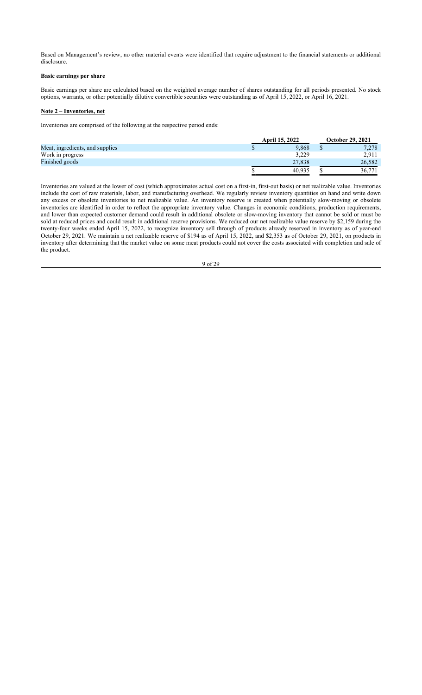Based on Management's review, no other material events were identified that require adjustment to the financial statements or additional disclosure.

## **Basic earnings per share**

Basic earnings per share are calculated based on the weighted average number of shares outstanding for all periods presented. No stock options, warrants, or other potentially dilutive convertible securities were outstanding as of April 15, 2022, or April 16, 2021.

#### **Note 2 – Inventories, net**

Inventories are comprised of the following at the respective period ends:

|                                 | <b>April 15, 2022</b> |        |  | <b>October 29, 2021</b> |
|---------------------------------|-----------------------|--------|--|-------------------------|
| Meat, ingredients, and supplies |                       | 9.868  |  | 7,278                   |
| Work in progress                |                       | 3.229  |  | 2.911                   |
| Finished goods                  |                       | 27.838 |  | 26.582                  |
|                                 |                       | 40.935 |  | 36.771                  |

Inventories are valued at the lower of cost (which approximates actual cost on a first-in, first-out basis) or net realizable value. Inventories include the cost of raw materials, labor, and manufacturing overhead. We regularly review inventory quantities on hand and write down any excess or obsolete inventories to net realizable value. An inventory reserve is created when potentially slow-moving or obsolete inventories are identified in order to reflect the appropriate inventory value. Changes in economic conditions, production requirements, and lower than expected customer demand could result in additional obsolete or slow-moving inventory that cannot be sold or must be sold at reduced prices and could result in additional reserve provisions. We reduced our net realizable value reserve by \$2,159 during the twenty-four weeks ended April 15, 2022, to recognize inventory sell through of products already reserved in inventory as of year-end October 29, 2021. We maintain a net realizable reserve of \$194 as of April 15, 2022, and \$2,353 as of October 29, 2021, on products in inventory after determining that the market value on some meat products could not cover the costs associated with completion and sale of the product.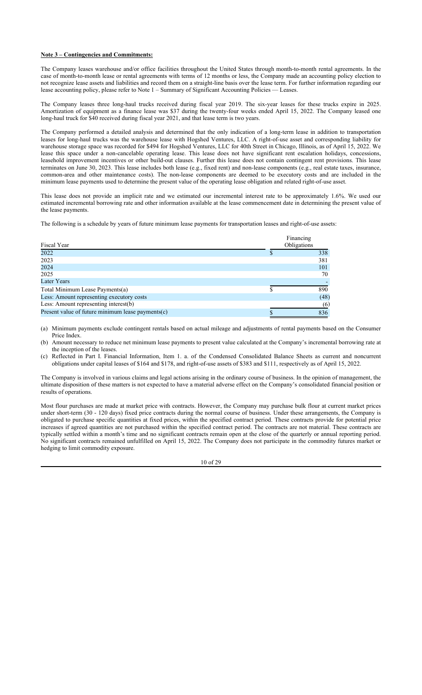## **Note 3 – Contingencies and Commitments:**

The Company leases warehouse and/or office facilities throughout the United States through month-to-month rental agreements. In the case of month-to-month lease or rental agreements with terms of 12 months or less, the Company made an accounting policy election to not recognize lease assets and liabilities and record them on a straight-line basis over the lease term. For further information regarding our lease accounting policy, please refer to Note 1 – Summary of Significant Accounting Policies — Leases.

The Company leases three long-haul trucks received during fiscal year 2019. The six-year leases for these trucks expire in 2025. Amortization of equipment as a finance lease was \$37 during the twenty-four weeks ended April 15, 2022. The Company leased one long-haul truck for \$40 received during fiscal year 2021, and that lease term is two years.

The Company performed a detailed analysis and determined that the only indication of a long-term lease in addition to transportation leases for long-haul trucks was the warehouse lease with Hogshed Ventures, LLC. A right-of-use asset and corresponding liability for warehouse storage space was recorded for \$494 for Hogshed Ventures, LLC for 40th Street in Chicago, Illinois, as of April 15, 2022. We lease this space under a non-cancelable operating lease. This lease does not have significant rent escalation holidays, concessions, leasehold improvement incentives or other build-out clauses. Further this lease does not contain contingent rent provisions. This lease terminates on June 30, 2023. This lease includes both lease (e.g., fixed rent) and non-lease components (e.g., real estate taxes, insurance, common-area and other maintenance costs). The non-lease components are deemed to be executory costs and are included in the minimum lease payments used to determine the present value of the operating lease obligation and related right-of-use asset.

This lease does not provide an implicit rate and we estimated our incremental interest rate to be approximately 1.6%. We used our estimated incremental borrowing rate and other information available at the lease commencement date in determining the present value of the lease payments.

The following is a schedule by years of future minimum lease payments for transportation leases and right-of-use assets:

|                                                      | Financing   |
|------------------------------------------------------|-------------|
| Fiscal Year                                          | Obligations |
| 2022                                                 | 338         |
| 2023                                                 | 381         |
| 2024                                                 | 101         |
| 2025                                                 | 70          |
| Later Years                                          |             |
| Total Minimum Lease Payments(a)                      | 890         |
| Less: Amount representing executory costs            | (48)        |
| Less: Amount representing interest(b)                | (6)         |
| Present value of future minimum lease payments $(c)$ | 836         |

(a) Minimum payments exclude contingent rentals based on actual mileage and adjustments of rental payments based on the Consumer Price Index.

- (b) Amount necessary to reduce net minimum lease payments to present value calculated at the Company's incremental borrowing rate at the inception of the leases.
- (c) Reflected in Part I. Financial Information, Item 1. a. of the Condensed Consolidated Balance Sheets as current and noncurrent obligations under capital leases of \$164 and \$178, and right-of-use assets of \$383 and \$111, respectively as of April 15, 2022.

The Company is involved in various claims and legal actions arising in the ordinary course of business. In the opinion of management, the ultimate disposition of these matters is not expected to have a material adverse effect on the Company's consolidated financial position or results of operations.

Most flour purchases are made at market price with contracts. However, the Company may purchase bulk flour at current market prices under short-term (30 - 120 days) fixed price contracts during the normal course of business. Under these arrangements, the Company is obligated to purchase specific quantities at fixed prices, within the specified contract period. These contracts provide for potential price increases if agreed quantities are not purchased within the specified contract period. The contracts are not material. These contracts are typically settled within a month's time and no significant contracts remain open at the close of the quarterly or annual reporting period. No significant contracts remained unfulfilled on April 15, 2022. The Company does not participate in the commodity futures market or hedging to limit commodity exposure.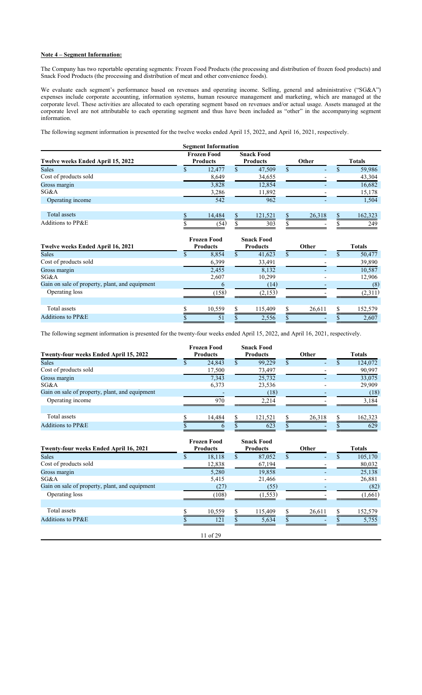## **Note 4 – Segment Information:**

The Company has two reportable operating segments: Frozen Food Products (the processing and distribution of frozen food products) and Snack Food Products (the processing and distribution of meat and other convenience foods).

We evaluate each segment's performance based on revenues and operating income. Selling, general and administrative ("SG&A") expenses include corporate accounting, information systems, human resource management and marketing, which are managed at the corporate level. These activities are allocated to each operating segment based on revenues and/or actual usage. Assets managed at the corporate level are not attributable to each operating segment and thus have been included as "other" in the accompanying segment information.

The following segment information is presented for the twelve weeks ended April 15, 2022, and April 16, 2021, respectively.

| <b>Segment Information</b>        |                                       |        |                                      |         |              |                          |  |               |  |
|-----------------------------------|---------------------------------------|--------|--------------------------------------|---------|--------------|--------------------------|--|---------------|--|
| Twelve weeks Ended April 15, 2022 | <b>Frozen Food</b><br><b>Products</b> |        | <b>Snack Food</b><br><b>Products</b> |         | <b>Other</b> |                          |  | <b>Totals</b> |  |
| <b>Sales</b>                      |                                       | 12,477 |                                      | 47,509  | S            | $\overline{\phantom{0}}$ |  | 59,986        |  |
| Cost of products sold             |                                       | 8,649  |                                      | 34,655  |              |                          |  | 43,304        |  |
| Gross margin                      |                                       | 3,828  |                                      | 12,854  |              |                          |  | 16,682        |  |
| SG&A                              |                                       | 3,286  |                                      | 11,892  |              |                          |  | 15,178        |  |
| Operating income                  |                                       | 542    |                                      | 962     |              |                          |  | 1,504         |  |
|                                   |                                       |        |                                      |         |              |                          |  |               |  |
| Total assets                      |                                       | 14,484 |                                      | 121,521 |              | 26,318                   |  | 162,323       |  |
| Additions to PP&E                 |                                       | (54)   |                                      | 303     |              |                          |  | 249           |  |

| Twelve weeks Ended April 16, 2021              | <b>Frozen Food</b><br><b>Products</b> | <b>Snack Food</b><br><b>Products</b> |   | <b>Other</b> | <b>Totals</b> |
|------------------------------------------------|---------------------------------------|--------------------------------------|---|--------------|---------------|
| <b>Sales</b>                                   | 8,854                                 | 41,623                               | S | ٠            | 50,477        |
| Cost of products sold                          | 6,399                                 | 33,491                               |   |              | 39,890        |
| Gross margin                                   | 2,455                                 | 8,132                                |   |              | 10,587        |
| SG&A                                           | 2,607                                 | 10,299                               |   |              | 12,906        |
| Gain on sale of property, plant, and equipment |                                       | (14)                                 |   |              | (8)           |
| Operating loss                                 | (158)                                 | (2,153)                              |   |              | (2,311)       |
| Total assets                                   | 10,559                                | 115,409                              |   | 26,611       | 152,579       |
| Additions to PP&E                              | 51                                    | 2,556                                |   |              | 2,607         |

The following segment information is presented for the twenty-four weeks ended April 15, 2022, and April 16, 2021, respectively.

|                                                |                 | <b>Frozen Food</b> |                 | <b>Snack Food</b> |       |                |    |         |
|------------------------------------------------|-----------------|--------------------|-----------------|-------------------|-------|----------------|----|---------|
| Twenty-four weeks Ended April 15, 2022         | <b>Products</b> |                    | <b>Products</b> |                   | Other |                |    | Totals  |
| <b>Sales</b>                                   |                 | 24,843             |                 | 99,229            | S     | $\overline{a}$ | ٠D | 124,072 |
| Cost of products sold                          |                 | 17,500             |                 | 73,497            |       |                |    | 90,997  |
| Gross margin                                   |                 | 7,343              |                 | 25,732            |       |                |    | 33,075  |
| SG&A                                           |                 | 6,373              |                 | 23,536            |       |                |    | 29,909  |
| Gain on sale of property, plant, and equipment |                 |                    |                 | (18)              |       |                |    | (18)    |
| Operating income                               |                 | 970                |                 | 2,214             |       |                |    | 3,184   |
|                                                |                 |                    |                 |                   |       |                |    |         |
| Total assets                                   |                 | 14,484             |                 | 121,521           |       | 26,318         |    | 162,323 |
| Additions to PP&E                              |                 |                    |                 | 623               |       |                |    | 629     |

| <b>Twenty-four weeks Ended April 16, 2021</b>  | <b>Frozen Food</b><br><b>Products</b> |   | <b>Snack Food</b><br><b>Products</b> | Other                          | <b>Totals</b> |
|------------------------------------------------|---------------------------------------|---|--------------------------------------|--------------------------------|---------------|
| <b>Sales</b>                                   | 18,118                                | ъ | 87,052                               | \$<br>$\overline{\phantom{0}}$ | 105,170       |
| Cost of products sold                          | 12,838                                |   | 67,194                               |                                | 80,032        |
| Gross margin                                   | 5,280                                 |   | 19,858                               |                                | 25,138        |
| SG&A                                           | 5,415                                 |   | 21,466                               |                                | 26,881        |
| Gain on sale of property, plant, and equipment | (27)                                  |   | (55)                                 |                                | (82)          |
| Operating loss                                 | (108)                                 |   | (1, 553)                             |                                | (1,661)       |
|                                                |                                       |   |                                      |                                |               |
| Total assets                                   | 10,559                                |   | 115,409                              | 26,611                         | 152,579       |
| Additions to PP&E                              | 121                                   |   | 5,634                                |                                | 5,755         |
|                                                | 11 of 29                              |   |                                      |                                |               |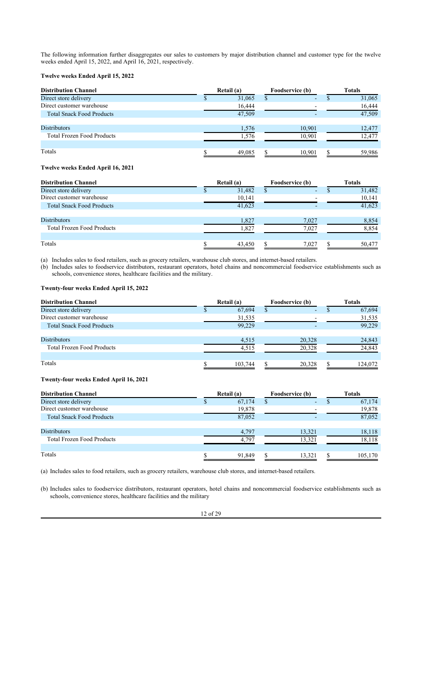The following information further disaggregates our sales to customers by major distribution channel and customer type for the twelve weeks ended April 15, 2022, and April 16, 2021, respectively.

## **Twelve weeks Ended April 15, 2022**

| <b>Distribution Channel</b>       | Retail (a) |   | Foodservice (b)          | <b>Totals</b> |
|-----------------------------------|------------|---|--------------------------|---------------|
| Direct store delivery             | 31,065     | Ф | $\overline{\phantom{a}}$ | 31,065        |
| Direct customer warehouse         | 16,444     |   | $\overline{\phantom{a}}$ | 16,444        |
| <b>Total Snack Food Products</b>  | 47,509     |   |                          | 47,509        |
|                                   |            |   |                          |               |
| Distributors                      | 1,576      |   | 10,901                   | 12,477        |
| <b>Total Frozen Food Products</b> | 1.576      |   | 10.901                   | 12,477        |
|                                   |            |   |                          |               |
| Totals                            | 49.085     |   | 10.901                   | 59.986        |

## **Twelve weeks Ended April 16, 2021**

| <b>Distribution Channel</b>       | Retail (a) |        | Foodservice (b) |                          |  | <b>Totals</b> |
|-----------------------------------|------------|--------|-----------------|--------------------------|--|---------------|
| Direct store delivery             |            | 31,482 |                 | $\overline{\phantom{a}}$ |  | 31,482        |
| Direct customer warehouse         |            | 10,141 |                 |                          |  | 10,141        |
| <b>Total Snack Food Products</b>  |            | 41,623 |                 |                          |  | 41,623        |
|                                   |            |        |                 |                          |  |               |
| <b>Distributors</b>               |            | 1,827  |                 | 7,027                    |  | 8,854         |
| <b>Total Frozen Food Products</b> |            | 1.827  |                 | 7.027                    |  | 8,854         |
|                                   |            |        |                 |                          |  |               |
| Totals                            |            | 43,450 |                 | 7.027                    |  | 50,477        |

(a) Includes sales to food retailers, such as grocery retailers, warehouse club stores, and internet-based retailers.

(b) Includes sales to foodservice distributors, restaurant operators, hotel chains and noncommercial foodservice establishments such as schools, convenience stores, healthcare facilities and the military.

## **Twenty-four weeks Ended April 15, 2022**

| <b>Distribution Channel</b>       | Retail (a) |         | Foodservice (b) |                          |  | <b>Totals</b> |  |  |
|-----------------------------------|------------|---------|-----------------|--------------------------|--|---------------|--|--|
| Direct store delivery             |            | 67,694  |                 | $\overline{\phantom{0}}$ |  | 67,694        |  |  |
| Direct customer warehouse         |            | 31,535  |                 |                          |  | 31,535        |  |  |
| <b>Total Snack Food Products</b>  |            | 99,229  |                 |                          |  | 99,229        |  |  |
|                                   |            |         |                 |                          |  |               |  |  |
| <b>Distributors</b>               |            | 4,515   |                 | 20,328                   |  | 24,843        |  |  |
| <b>Total Frozen Food Products</b> |            | 4,515   |                 | 20,328                   |  | 24,843        |  |  |
|                                   |            |         |                 |                          |  |               |  |  |
| Totals                            |            | 103,744 |                 | 20,328                   |  | 124,072       |  |  |

## **Twenty-four weeks Ended April 16, 2021**

| <b>Distribution Channel</b>       | Retail (a) | Foodservice (b)          | <b>Totals</b> |  |  |
|-----------------------------------|------------|--------------------------|---------------|--|--|
| Direct store delivery             | 67,174     | ٠                        | 67,174        |  |  |
| Direct customer warehouse         | 19,878     | $\overline{\phantom{0}}$ | 19,878        |  |  |
| <b>Total Snack Food Products</b>  | 87,052     | $\overline{\phantom{0}}$ | 87,052        |  |  |
| <b>Distributors</b>               | 4.797      | 13,321                   | 18,118        |  |  |
| <b>Total Frozen Food Products</b> | 4 7 9 7    | 13,321                   | 18,118        |  |  |
|                                   |            |                          |               |  |  |
| Totals                            | 91.849     | 13,321                   | 105,170       |  |  |

(a) Includes sales to food retailers, such as grocery retailers, warehouse club stores, and internet-based retailers.

(b) Includes sales to foodservice distributors, restaurant operators, hotel chains and noncommercial foodservice establishments such as schools, convenience stores, healthcare facilities and the military

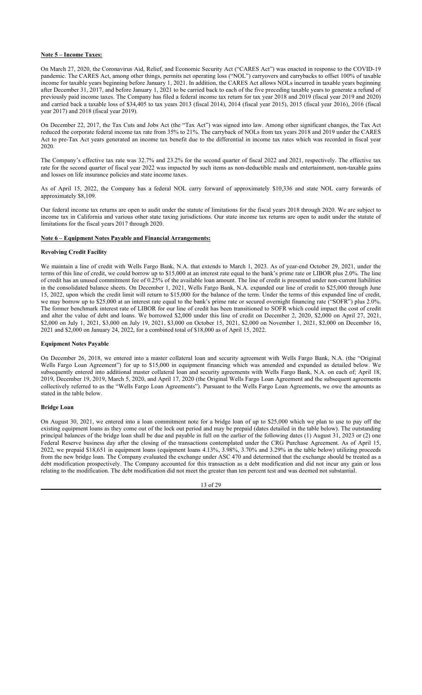## **Note 5 – Income Taxes:**

On March 27, 2020, the Coronavirus Aid, Relief, and Economic Security Act ("CARES Act") was enacted in response to the COVID-19 pandemic. The CARES Act, among other things, permits net operating loss ("NOL") carryovers and carrybacks to offset 100% of taxable income for taxable years beginning before January 1, 2021. In addition, the CARES Act allows NOLs incurred in taxable years beginning after December 31, 2017, and before January 1, 2021 to be carried back to each of the five preceding taxable years to generate a refund of previously paid income taxes. The Company has filed a federal income tax return for tax year 2018 and 2019 (fiscal year 2019 and 2020) and carried back a taxable loss of \$34,405 to tax years 2013 (fiscal 2014), 2014 (fiscal year 2015), 2015 (fiscal year 2016), 2016 (fiscal year 2017) and 2018 (fiscal year 2019).

On December 22, 2017, the Tax Cuts and Jobs Act (the "Tax Act") was signed into law. Among other significant changes, the Tax Act reduced the corporate federal income tax rate from 35% to 21%. The carryback of NOLs from tax years 2018 and 2019 under the CARES Act to pre-Tax Act years generated an income tax benefit due to the differential in income tax rates which was recorded in fiscal year 2020.

The Company's effective tax rate was 32.7% and 23.2% for the second quarter of fiscal 2022 and 2021, respectively. The effective tax rate for the second quarter of fiscal year 2022 was impacted by such items as non-deductible meals and entertainment, non-taxable gains and losses on life insurance policies and state income taxes.

As of April 15, 2022, the Company has a federal NOL carry forward of approximately \$10,336 and state NOL carry forwards of approximately \$8,109.

Our federal income tax returns are open to audit under the statute of limitations for the fiscal years 2018 through 2020. We are subject to income tax in California and various other state taxing jurisdictions. Our state income tax returns are open to audit under the statute of limitations for the fiscal years 2017 through 2020.

## **Note 6 – Equipment Notes Payable and Financial Arrangements:**

## **Revolving Credit Facility**

We maintain a line of credit with Wells Fargo Bank, N.A. that extends to March 1, 2023. As of year-end October 29, 2021, under the terms of this line of credit, we could borrow up to \$15,000 at an interest rate equal to the bank's prime rate or LIBOR plus 2.0%. The line of credit has an unused commitment fee of 0.25% of the available loan amount. The line of credit is presented under non-current liabilities in the consolidated balance sheets. On December 1, 2021, Wells Fargo Bank, N.A. expanded our line of credit to \$25,000 through June 15, 2022, upon which the credit limit will return to \$15,000 for the balance of the term. Under the terms of this expanded line of credit, we may borrow up to \$25,000 at an interest rate equal to the bank's prime rate or secured overnight financing rate ("SOFR") plus 2.0%. The former benchmark interest rate of LIBOR for our line of credit has been transitioned to SOFR which could impact the cost of credit and alter the value of debt and loans. We borrowed \$2,000 under this line of credit on December 2, 2020, \$2,000 on April 27, 2021, \$2,000 on July 1, 2021, \$3,000 on July 19, 2021, \$3,000 on October 15, 2021, \$2,000 on November 1, 2021, \$2,000 on December 16, 2021 and \$2,000 on January 24, 2022, for a combined total of \$18,000 as of April 15, 2022.

#### **Equipment Notes Payable**

On December 26, 2018, we entered into a master collateral loan and security agreement with Wells Fargo Bank, N.A. (the "Original Wells Fargo Loan Agreement") for up to \$15,000 in equipment financing which was amended and expanded as detailed below. We subsequently entered into additional master collateral loan and security agreements with Wells Fargo Bank, N.A. on each of; April 18, 2019, December 19, 2019, March 5, 2020, and April 17, 2020 (the Original Wells Fargo Loan Agreement and the subsequent agreements collectively referred to as the "Wells Fargo Loan Agreements"). Pursuant to the Wells Fargo Loan Agreements, we owe the amounts as stated in the table below.

## **Bridge Loan**

On August 30, 2021, we entered into a loan commitment note for a bridge loan of up to \$25,000 which we plan to use to pay off the existing equipment loans as they come out of the lock out period and may be prepaid (dates detailed in the table below). The outstanding principal balances of the bridge loan shall be due and payable in full on the earlier of the following dates (1) August 31, 2023 or (2) one Federal Reserve business day after the closing of the transactions contemplated under the CRG Purchase Agreement. As of April 15, 2022, we prepaid \$18,651 in equipment loans (equipment loans 4.13%, 3.98%, 3.70% and 3.29% in the table below) utilizing proceeds from the new bridge loan. The Company evaluated the exchange under ASC 470 and determined that the exchange should be treated as a debt modification prospectively. The Company accounted for this transaction as a debt modification and did not incur any gain or loss relating to the modification. The debt modification did not meet the greater than ten percent test and was deemed not substantial.

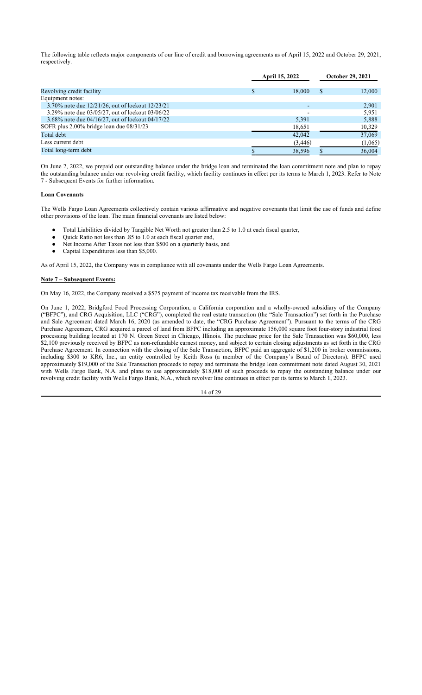The following table reflects major components of our line of credit and borrowing agreements as of April 15, 2022 and October 29, 2021, respectively.

|                                                  |   | <b>April 15, 2022</b> |               | <b>October 29, 2021</b> |
|--------------------------------------------------|---|-----------------------|---------------|-------------------------|
| Revolving credit facility                        | S | 18,000                | <sup>\$</sup> | 12,000                  |
| Equipment notes:                                 |   |                       |               |                         |
| 3.70% note due 12/21/26, out of lockout 12/23/21 |   |                       |               | 2.901                   |
| 3.29% note due 03/05/27, out of lockout 03/06/22 |   |                       |               | 5,951                   |
| 3.68% note due 04/16/27, out of lockout 04/17/22 |   | 5,391                 |               | 5,888                   |
| SOFR plus 2.00% bridge loan due 08/31/23         |   | 18,651                |               | 10,329                  |
| Total debt                                       |   | 42,042                |               | 37,069                  |
| Less current debt                                |   | (3,446)               |               | (1,065)                 |
| Total long-term debt                             |   | 38,596                |               | 36,004                  |

On June 2, 2022, we prepaid our outstanding balance under the bridge loan and terminated the loan commitment note and plan to repay the outstanding balance under our revolving credit facility, which facility continues in effect per its terms to March 1, 2023. Refer to Note 7 - Subsequent Events for further information.

## **Loan Covenants**

The Wells Fargo Loan Agreements collectively contain various affirmative and negative covenants that limit the use of funds and define other provisions of the loan. The main financial covenants are listed below:

- Total Liabilities divided by Tangible Net Worth not greater than 2.5 to 1.0 at each fiscal quarter,
- Quick Ratio not less than .85 to 1.0 at each fiscal quarter end,
- Net Income After Taxes not less than \$500 on a quarterly basis, and
- Capital Expenditures less than \$5,000.

As of April 15, 2022, the Company was in compliance with all covenants under the Wells Fargo Loan Agreements.

## **Note 7 – Subsequent Events:**

On May 16, 2022, the Company received a \$575 payment of income tax receivable from the IRS.

On June 1, 2022, Bridgford Food Processing Corporation, a California corporation and a wholly-owned subsidiary of the Company ("BFPC"), and CRG Acquisition, LLC ("CRG"), completed the real estate transaction (the "Sale Transaction") set forth in the Purchase and Sale Agreement dated March 16, 2020 (as amended to date, the "CRG Purchase Agreement"). Pursuant to the terms of the CRG Purchase Agreement, CRG acquired a parcel of land from BFPC including an approximate 156,000 square foot four-story industrial food processing building located at 170 N. Green Street in Chicago, Illinois. The purchase price for the Sale Transaction was \$60,000, less \$2,100 previously received by BFPC as non-refundable earnest money, and subject to certain closing adjustments as set forth in the CRG Purchase Agreement. In connection with the closing of the Sale Transaction, BFPC paid an aggregate of \$1,200 in broker commissions, including \$300 to KR6, Inc., an entity controlled by Keith Ross (a member of the Company's Board of Directors). BFPC used approximately \$19,000 of the Sale Transaction proceeds to repay and terminate the bridge loan commitment note dated August 30, 2021 with Wells Fargo Bank, N.A. and plans to use approximately \$18,000 of such proceeds to repay the outstanding balance under our revolving credit facility with Wells Fargo Bank, N.A., which revolver line continues in effect per its terms to March 1, 2023.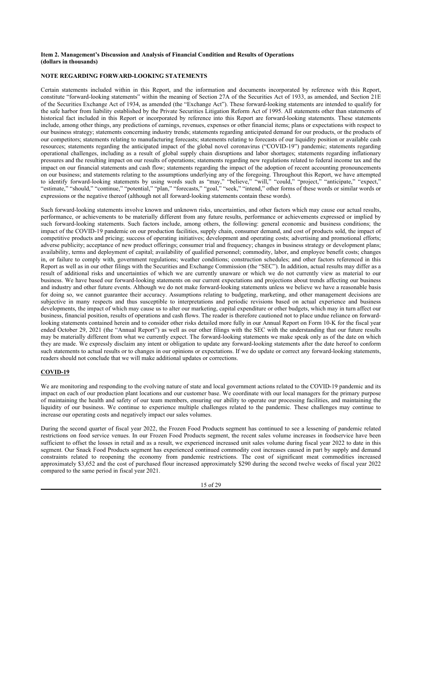#### **Item 2. Management's Discussion and Analysis of Financial Condition and Results of Operations (dollars in thousands)**

## **NOTE REGARDING FORWARD-LOOKING STATEMENTS**

Certain statements included within in this Report, and the information and documents incorporated by reference with this Report, constitute "forward-looking statements" within the meaning of Section 27A of the Securities Act of 1933, as amended, and Section 21E of the Securities Exchange Act of 1934, as amended (the "Exchange Act"). These forward-looking statements are intended to qualify for the safe harbor from liability established by the Private Securities Litigation Reform Act of 1995. All statements other than statements of historical fact included in this Report or incorporated by reference into this Report are forward-looking statements. These statements include, among other things, any predictions of earnings, revenues, expenses or other financial items; plans or expectations with respect to our business strategy; statements concerning industry trends; statements regarding anticipated demand for our products, or the products of our competitors; statements relating to manufacturing forecasts; statements relating to forecasts of our liquidity position or available cash resources; statements regarding the anticipated impact of the global novel coronavirus ("COVID-19") pandemic; statements regarding operational challenges, including as a result of global supply chain disruptions and labor shortages; statements regarding inflationary pressures and the resulting impact on our results of operations; statements regarding new regulations related to federal income tax and the impact on our financial statements and cash flow; statements regarding the impact of the adoption of recent accounting pronouncements on our business; and statements relating to the assumptions underlying any of the foregoing. Throughout this Report, we have attempted to identify forward-looking statements by using words such as "may," "believe," "will," "could," "project," "anticipate," "expect," "estimate," "should," "continue," "potential," "plan," "forecasts," "goal," "seek," "intend," other forms of these words or similar words or expressions or the negative thereof (although not all forward-looking statements contain these words).

Such forward-looking statements involve known and unknown risks, uncertainties, and other factors which may cause our actual results, performance, or achievements to be materially different from any future results, performance or achievements expressed or implied by such forward-looking statements. Such factors include, among others, the following: general economic and business conditions; the impact of the COVID-19 pandemic on our production facilities, supply chain, consumer demand, and cost of products sold, the impact of competitive products and pricing; success of operating initiatives; development and operating costs; advertising and promotional efforts; adverse publicity; acceptance of new product offerings; consumer trial and frequency; changes in business strategy or development plans; availability, terms and deployment of capital; availability of qualified personnel; commodity, labor, and employee benefit costs; changes in, or failure to comply with, government regulations; weather conditions; construction schedules; and other factors referenced in this Report as well as in our other filings with the Securities and Exchange Commission (the "SEC"). In addition, actual results may differ as a result of additional risks and uncertainties of which we are currently unaware or which we do not currently view as material to our business. We have based our forward-looking statements on our current expectations and projections about trends affecting our business and industry and other future events. Although we do not make forward-looking statements unless we believe we have a reasonable basis for doing so, we cannot guarantee their accuracy. Assumptions relating to budgeting, marketing, and other management decisions are subjective in many respects and thus susceptible to interpretations and periodic revisions based on actual experience and business developments, the impact of which may cause us to alter our marketing, capital expenditure or other budgets, which may in turn affect our business, financial position, results of operations and cash flows. The reader is therefore cautioned not to place undue reliance on forwardlooking statements contained herein and to consider other risks detailed more fully in our Annual Report on Form 10-K for the fiscal year ended October 29, 2021 (the "Annual Report") as well as our other filings with the SEC with the understanding that our future results may be materially different from what we currently expect. The forward-looking statements we make speak only as of the date on which they are made. We expressly disclaim any intent or obligation to update any forward-looking statements after the date hereof to conform such statements to actual results or to changes in our opinions or expectations. If we do update or correct any forward-looking statements, readers should not conclude that we will make additional updates or corrections.

## **COVID-19**

We are monitoring and responding to the evolving nature of state and local government actions related to the COVID-19 pandemic and its impact on each of our production plant locations and our customer base. We coordinate with our local managers for the primary purpose of maintaining the health and safety of our team members, ensuring our ability to operate our processing facilities, and maintaining the liquidity of our business. We continue to experience multiple challenges related to the pandemic. These challenges may continue to increase our operating costs and negatively impact our sales volumes.

During the second quarter of fiscal year 2022, the Frozen Food Products segment has continued to see a lessening of pandemic related restrictions on food service venues. In our Frozen Food Products segment, the recent sales volume increases in foodservice have been sufficient to offset the losses in retail and as a result, we experienced increased unit sales volume during fiscal year 2022 to date in this segment. Our Snack Food Products segment has experienced continued commodity cost increases caused in part by supply and demand constraints related to reopening the economy from pandemic restrictions. The cost of significant meat commodities increased approximately \$3,652 and the cost of purchased flour increased approximately \$290 during the second twelve weeks of fiscal year 2022 compared to the same period in fiscal year 2021.

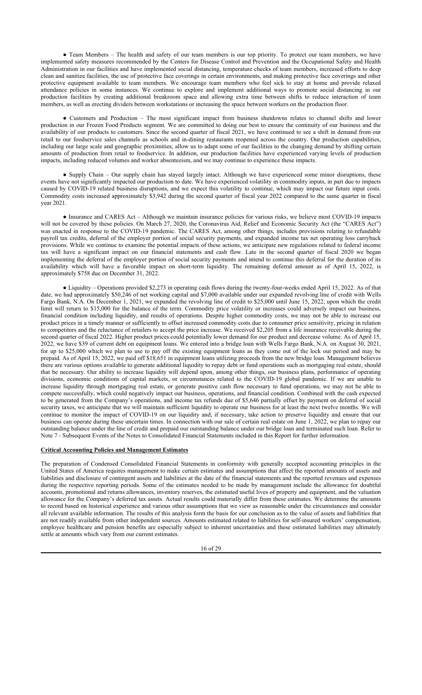● Team Members – The health and safety of our team members is our top priority. To protect our team members, we have implemented safety measures recommended by the Centers for Disease Control and Prevention and the Occupational Safety and Health Administration in our facilities and have implemented social distancing, temperature checks of team members, increased efforts to deep clean and sanitize facilities, the use of protective face coverings in certain environments, and making protective face coverings and other protective equipment available to team members. We encourage team members who feel sick to stay at home and provide relaxed attendance policies in some instances. We continue to explore and implement additional ways to promote social distancing in our production facilities by creating additional breakroom space and allowing extra time between shifts to reduce interaction of team members, as well as erecting dividers between workstations or increasing the space between workers on the production floor.

● Customers and Production – The most significant impact from business shutdowns relates to channel shifts and lower production in our Frozen Food Products segment. We are committed to doing our best to ensure the continuity of our business and the availability of our products to customers. Since the second quarter of fiscal 2021, we have continued to see a shift in demand from our retail to our foodservice sales channels as schools and in-dining restaurants reopened across the country. Our production capabilities, including our large scale and geographic proximities, allow us to adapt some of our facilities to the changing demand by shifting certain amounts of production from retail to foodservice. In addition, our production facilities have experienced varying levels of production impacts, including reduced volumes and worker absenteeism, and we may continue to experience these impacts.

● Supply Chain – Our supply chain has stayed largely intact. Although we have experienced some minor disruptions, these events have not significantly impacted our production to date. We have experienced volatility in commodity inputs, in part due to impacts caused by COVID-19 related business disruptions, and we expect this volatility to continue, which may impact our future input costs. Commodity costs increased approximately \$3,942 during the second quarter of fiscal year 2022 compared to the same quarter in fiscal year 2021.

● Insurance and CARES Act – Although we maintain insurance policies for various risks, we believe most COVID-19 impacts will not be covered by these policies. On March 27, 2020, the Coronavirus Aid, Relief and Economic Security Act (the "CARES Act") was enacted in response to the COVID-19 pandemic. The CARES Act, among other things, includes provisions relating to refundable payroll tax credits, deferral of the employer portion of social security payments, and expanded income tax net operating loss carryback provisions. While we continue to examine the potential impacts of these actions, we anticipate new regulations related to federal income tax will have a significant impact on our financial statements and cash flow. Late in the second quarter of fiscal 2020 we began implementing the deferral of the employer portion of social security payments and intend to continue this deferral for the duration of its availability which will have a favorable impact on short-term liquidity. The remaining deferral amount as of April 15, 2022, is approximately \$758 due on December 31, 2022.

● Liquidity – Operations provided \$2,273 in operating cash flows during the twenty-four-weeks ended April 15, 2022. As of that date, we had approximately \$50,246 of net working capital and \$7,000 available under our expanded revolving line of credit with Wells Fargo Bank, N.A. On December 1, 2021, we expanded the revolving line of credit to \$25,000 until June 15, 2022, upon which the credit limit will return to \$15,000 for the balance of the term. Commodity price volatility or increases could adversely impact our business, financial condition including liquidity, and results of operations. Despite higher commodity costs, we may not be able to increase our product prices in a timely manner or sufficiently to offset increased commodity costs due to consumer price sensitivity, pricing in relation to competitors and the reluctance of retailers to accept the price increase. We received \$2,205 from a life insurance receivable during the second quarter of fiscal 2022. Higher product prices could potentially lower demand for our product and decrease volume. As of April 15, 2022, we have \$39 of current debt on equipment loans. We entered into a bridge loan with Wells Fargo Bank, N.A. on August 30, 2021, for up to \$25,000 which we plan to use to pay off the existing equipment loans as they come out of the lock out period and may be prepaid. As of April 15, 2022, we paid off \$18,651 in equipment loans utilizing proceeds from the new bridge loan. Management believes there are various options available to generate additional liquidity to repay debt or fund operations such as mortgaging real estate, should that be necessary. Our ability to increase liquidity will depend upon, among other things, our business plans, performance of operating divisions, economic conditions of capital markets, or circumstances related to the COVID-19 global pandemic. If we are unable to increase liquidity through mortgaging real estate, or generate positive cash flow necessary to fund operations, we may not be able to compete successfully, which could negatively impact our business, operations, and financial condition. Combined with the cash expected to be generated from the Company's operations, and income tax refunds due of \$5,646 partially offset by payment on deferral of social security taxes, we anticipate that we will maintain sufficient liquidity to operate our business for at least the next twelve months. We will continue to monitor the impact of COVID-19 on our liquidity and, if necessary, take action to preserve liquidity and ensure that our business can operate during these uncertain times. In connection with our sale of certain real estate on June 1, 2022, we plan to repay our outstanding balance under the line of credit and prepaid our outstanding balance under our bridge loan and terminated such loan. Refer to Note 7 - Subsequent Events of the Notes to Consolidated Financial Statements included in this Report for further information.

## **Critical Accounting Policies and Management Estimates**

The preparation of Condensed Consolidated Financial Statements in conformity with generally accepted accounting principles in the United States of America requires management to make certain estimates and assumptions that affect the reported amounts of assets and liabilities and disclosure of contingent assets and liabilities at the date of the financial statements and the reported revenues and expenses during the respective reporting periods. Some of the estimates needed to be made by management include the allowance for doubtful accounts, promotional and returns allowances, inventory reserves, the estimated useful lives of property and equipment, and the valuation allowance for the Company's deferred tax assets. Actual results could materially differ from these estimates. We determine the amounts to record based on historical experience and various other assumptions that we view as reasonable under the circumstances and consider all relevant available information. The results of this analysis form the basis for our conclusion as to the value of assets and liabilities that are not readily available from other independent sources. Amounts estimated related to liabilities for self-insured workers' compensation, employee healthcare and pension benefits are especially subject to inherent uncertainties and these estimated liabilities may ultimately settle at amounts which vary from our current estimates.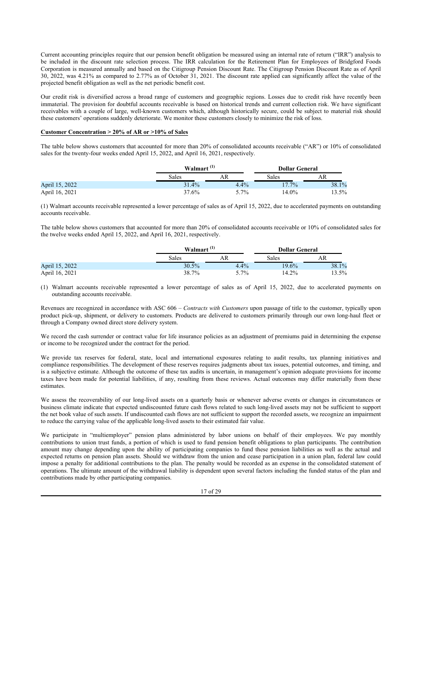Current accounting principles require that our pension benefit obligation be measured using an internal rate of return ("IRR") analysis to be included in the discount rate selection process. The IRR calculation for the Retirement Plan for Employees of Bridgford Foods Corporation is measured annually and based on the Citigroup Pension Discount Rate. The Citigroup Pension Discount Rate as of April 30, 2022, was 4.21% as compared to 2.77% as of October 31, 2021. The discount rate applied can significantly affect the value of the projected benefit obligation as well as the net periodic benefit cost.

Our credit risk is diversified across a broad range of customers and geographic regions. Losses due to credit risk have recently been immaterial. The provision for doubtful accounts receivable is based on historical trends and current collection risk. We have significant receivables with a couple of large, well-known customers which, although historically secure, could be subject to material risk should these customers' operations suddenly deteriorate. We monitor these customers closely to minimize the risk of loss.

## **Customer Concentration > 20% of AR or >10% of Sales**

The table below shows customers that accounted for more than 20% of consolidated accounts receivable ("AR") or 10% of consolidated sales for the twenty-four weeks ended April 15, 2022, and April 16, 2021, respectively.

|                |       | Walmart $(1)$ |       | <b>Dollar General</b> |
|----------------|-------|---------------|-------|-----------------------|
|                | Sales | AR            | Sales | AR                    |
| April 15, 2022 | 31.4% | 4.4%          | 17.7% | 38.1%                 |
| April 16, 2021 | 37.6% | 5.7%          | 14.0% | 13.5%                 |

(1) Walmart accounts receivable represented a lower percentage of sales as of April 15, 2022, due to accelerated payments on outstanding accounts receivable.

The table below shows customers that accounted for more than 20% of consolidated accounts receivable or 10% of consolidated sales for the twelve weeks ended April 15, 2022, and April 16, 2021, respectively.

|                |       | Walmart $(1)$ |          | <b>Dollar General</b> |
|----------------|-------|---------------|----------|-----------------------|
|                | Sales | AR            | Sales    | AR                    |
| April 15, 2022 | 30.5% | 4.4%          | $19.6\%$ | 38.1%                 |
| April 16, 2021 | 38.7% | $5.7\%$       | 14.2%    | $13.5\%$              |

(1) Walmart accounts receivable represented a lower percentage of sales as of April 15, 2022, due to accelerated payments on outstanding accounts receivable.

Revenues are recognized in accordance with ASC 606 – *Contracts with Customers* upon passage of title to the customer, typically upon product pick-up, shipment, or delivery to customers. Products are delivered to customers primarily through our own long-haul fleet or through a Company owned direct store delivery system.

We record the cash surrender or contract value for life insurance policies as an adjustment of premiums paid in determining the expense or income to be recognized under the contract for the period.

We provide tax reserves for federal, state, local and international exposures relating to audit results, tax planning initiatives and compliance responsibilities. The development of these reserves requires judgments about tax issues, potential outcomes, and timing, and is a subjective estimate. Although the outcome of these tax audits is uncertain, in management's opinion adequate provisions for income taxes have been made for potential liabilities, if any, resulting from these reviews. Actual outcomes may differ materially from these estimates.

We assess the recoverability of our long-lived assets on a quarterly basis or whenever adverse events or changes in circumstances or business climate indicate that expected undiscounted future cash flows related to such long-lived assets may not be sufficient to support the net book value of such assets. If undiscounted cash flows are not sufficient to support the recorded assets, we recognize an impairment to reduce the carrying value of the applicable long-lived assets to their estimated fair value.

We participate in "multiemployer" pension plans administered by labor unions on behalf of their employees. We pay monthly contributions to union trust funds, a portion of which is used to fund pension benefit obligations to plan participants. The contribution amount may change depending upon the ability of participating companies to fund these pension liabilities as well as the actual and expected returns on pension plan assets. Should we withdraw from the union and cease participation in a union plan, federal law could impose a penalty for additional contributions to the plan. The penalty would be recorded as an expense in the consolidated statement of operations. The ultimate amount of the withdrawal liability is dependent upon several factors including the funded status of the plan and contributions made by other participating companies.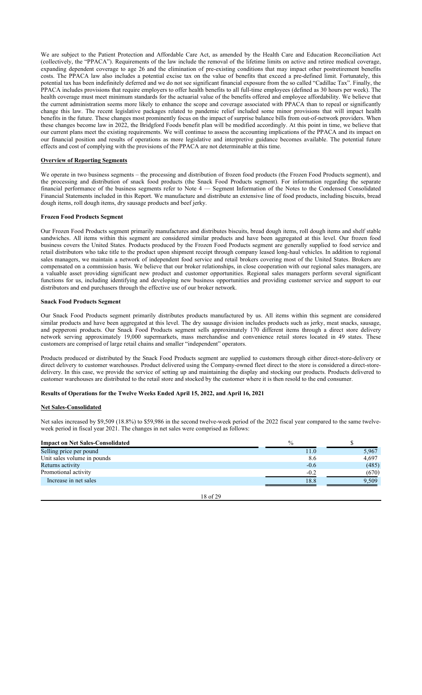We are subject to the Patient Protection and Affordable Care Act, as amended by the Health Care and Education Reconciliation Act (collectively, the "PPACA"). Requirements of the law include the removal of the lifetime limits on active and retiree medical coverage, expanding dependent coverage to age 26 and the elimination of pre-existing conditions that may impact other postretirement benefits costs. The PPACA law also includes a potential excise tax on the value of benefits that exceed a pre-defined limit. Fortunately, this potential tax has been indefinitely deferred and we do not see significant financial exposure from the so called "Cadillac Tax". Finally, the PPACA includes provisions that require employers to offer health benefits to all full-time employees (defined as 30 hours per week). The health coverage must meet minimum standards for the actuarial value of the benefits offered and employee affordability. We believe that the current administration seems more likely to enhance the scope and coverage associated with PPACA than to repeal or significantly change this law. The recent legislative packages related to pandemic relief included some minor provisions that will impact health benefits in the future. These changes most prominently focus on the impact of surprise balance bills from out-of-network providers. When these changes become law in 2022, the Bridgford Foods benefit plan will be modified accordingly. At this point in time, we believe that our current plans meet the existing requirements. We will continue to assess the accounting implications of the PPACA and its impact on our financial position and results of operations as more legislative and interpretive guidance becomes available. The potential future effects and cost of complying with the provisions of the PPACA are not determinable at this time.

#### **Overview of Reporting Segments**

We operate in two business segments – the processing and distribution of frozen food products (the Frozen Food Products segment), and the processing and distribution of snack food products (the Snack Food Products segment). For information regarding the separate financial performance of the business segments refer to Note 4 — Segment Information of the Notes to the Condensed Consolidated Financial Statements included in this Report. We manufacture and distribute an extensive line of food products, including biscuits, bread dough items, roll dough items, dry sausage products and beef jerky.

### **Frozen Food Products Segment**

Our Frozen Food Products segment primarily manufactures and distributes biscuits, bread dough items, roll dough items and shelf stable sandwiches. All items within this segment are considered similar products and have been aggregated at this level. Our frozen food business covers the United States. Products produced by the Frozen Food Products segment are generally supplied to food service and retail distributors who take title to the product upon shipment receipt through company leased long-haul vehicles. In addition to regional sales managers, we maintain a network of independent food service and retail brokers covering most of the United States. Brokers are compensated on a commission basis. We believe that our broker relationships, in close cooperation with our regional sales managers, are a valuable asset providing significant new product and customer opportunities. Regional sales managers perform several significant functions for us, including identifying and developing new business opportunities and providing customer service and support to our distributors and end purchasers through the effective use of our broker network.

## **Snack Food Products Segment**

Our Snack Food Products segment primarily distributes products manufactured by us. All items within this segment are considered similar products and have been aggregated at this level. The dry sausage division includes products such as jerky, meat snacks, sausage, and pepperoni products. Our Snack Food Products segment sells approximately 170 different items through a direct store delivery network serving approximately 19,000 supermarkets, mass merchandise and convenience retail stores located in 49 states. These customers are comprised of large retail chains and smaller "independent" operators.

Products produced or distributed by the Snack Food Products segment are supplied to customers through either direct-store-delivery or direct delivery to customer warehouses. Product delivered using the Company-owned fleet direct to the store is considered a direct-storedelivery. In this case, we provide the service of setting up and maintaining the display and stocking our products. Products delivered to customer warehouses are distributed to the retail store and stocked by the customer where it is then resold to the end consumer.

## **Results of Operations for the Twelve Weeks Ended April 15, 2022, and April 16, 2021**

## **Net Sales-Consolidated**

Net sales increased by \$9,509 (18.8%) to \$59,986 in the second twelve-week period of the 2022 fiscal year compared to the same twelveweek period in fiscal year 2021. The changes in net sales were comprised as follows:

| <b>Impact on Net Sales-Consolidated</b> | $\frac{0}{0}$ |       |
|-----------------------------------------|---------------|-------|
| Selling price per pound                 | 11.0          | 5,967 |
| Unit sales volume in pounds             | 8.6           | 4,697 |
| Returns activity                        | $-0.6$        | (485) |
| Promotional activity                    | $-0.2$        | (670) |
| Increase in net sales                   | 18.8          | 9,509 |
|                                         |               |       |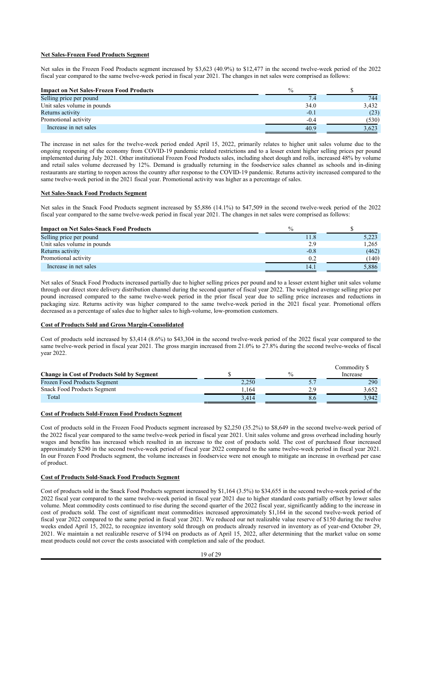## **Net Sales-Frozen Food Products Segment**

Net sales in the Frozen Food Products segment increased by \$3,623 (40.9%) to \$12,477 in the second twelve-week period of the 2022 fiscal year compared to the same twelve-week period in fiscal year 2021. The changes in net sales were comprised as follows:

| <b>Impact on Net Sales-Frozen Food Products</b> | $\frac{0}{0}$ |       |
|-------------------------------------------------|---------------|-------|
| Selling price per pound                         |               | 744   |
| Unit sales volume in pounds                     | 34.0          | 3.432 |
| Returns activity                                | $-0.1$        | (23)  |
| Promotional activity                            | $-0.4$        | (530) |
| Increase in net sales                           | 40.9          | 3,623 |

The increase in net sales for the twelve-week period ended April 15, 2022, primarily relates to higher unit sales volume due to the ongoing reopening of the economy from COVID-19 pandemic related restrictions and to a lesser extent higher selling prices per pound implemented during July 2021. Other institutional Frozen Food Products sales, including sheet dough and rolls, increased 48% by volume and retail sales volume decreased by 12%. Demand is gradually returning in the foodservice sales channel as schools and in-dining restaurants are starting to reopen across the country after response to the COVID-19 pandemic. Returns activity increased compared to the same twelve-week period in the 2021 fiscal year. Promotional activity was higher as a percentage of sales.

#### **Net Sales-Snack Food Products Segment**

Net sales in the Snack Food Products segment increased by \$5,886 (14.1%) to \$47,509 in the second twelve-week period of the 2022 fiscal year compared to the same twelve-week period in fiscal year 2021. The changes in net sales were comprised as follows:

| <b>Impact on Net Sales-Snack Food Products</b> | $\frac{0}{0}$ |       |
|------------------------------------------------|---------------|-------|
| Selling price per pound                        | !1.8          | 5,223 |
| Unit sales volume in pounds                    | 2.9           | 1,265 |
| Returns activity                               | $-0.8$        | (462) |
| Promotional activity                           | 0.2           | (140) |
| Increase in net sales                          | 14.1          | 5.886 |

Net sales of Snack Food Products increased partially due to higher selling prices per pound and to a lesser extent higher unit sales volume through our direct store delivery distribution channel during the second quarter of fiscal year 2022. The weighted average selling price per pound increased compared to the same twelve-week period in the prior fiscal year due to selling price increases and reductions in packaging size. Returns activity was higher compared to the same twelve-week period in the 2021 fiscal year. Promotional offers decreased as a percentage of sales due to higher sales to high-volume, low-promotion customers.

## **Cost of Products Sold and Gross Margin-Consolidated**

Cost of products sold increased by \$3,414 (8.6%) to \$43,304 in the second twelve-week period of the 2022 fiscal year compared to the same twelve-week period in fiscal year 2021. The gross margin increased from 21.0% to 27.8% during the second twelve-weeks of fiscal year 2022.

|                                                   |       |               | Commodity \$ |
|---------------------------------------------------|-------|---------------|--------------|
| <b>Change in Cost of Products Sold by Segment</b> |       | $\frac{0}{0}$ | Increase     |
| <b>Frozen Food Products Segment</b>               | 2.250 | 5.7           | 290          |
| <b>Snack Food Products Segment</b>                | .164  | 2.9           | 3.652        |
| Total                                             | 3.414 | 8.0           | 3.942        |

#### **Cost of Products Sold-Frozen Food Products Segment**

Cost of products sold in the Frozen Food Products segment increased by \$2,250 (35.2%) to \$8,649 in the second twelve-week period of the 2022 fiscal year compared to the same twelve-week period in fiscal year 2021. Unit sales volume and gross overhead including hourly wages and benefits has increased which resulted in an increase to the cost of products sold. The cost of purchased flour increased approximately \$290 in the second twelve-week period of fiscal year 2022 compared to the same twelve-week period in fiscal year 2021. In our Frozen Food Products segment, the volume increases in foodservice were not enough to mitigate an increase in overhead per case of product.

## **Cost of Products Sold-Snack Food Products Segment**

Cost of products sold in the Snack Food Products segment increased by \$1,164 (3.5%) to \$34,655 in the second twelve-week period of the 2022 fiscal year compared to the same twelve-week period in fiscal year 2021 due to higher standard costs partially offset by lower sales volume. Meat commodity costs continued to rise during the second quarter of the 2022 fiscal year, significantly adding to the increase in cost of products sold. The cost of significant meat commodities increased approximately \$1,164 in the second twelve-week period of fiscal year 2022 compared to the same period in fiscal year 2021. We reduced our net realizable value reserve of \$150 during the twelve weeks ended April 15, 2022, to recognize inventory sold through on products already reserved in inventory as of year-end October 29, 2021. We maintain a net realizable reserve of \$194 on products as of April 15, 2022, after determining that the market value on some meat products could not cover the costs associated with completion and sale of the product.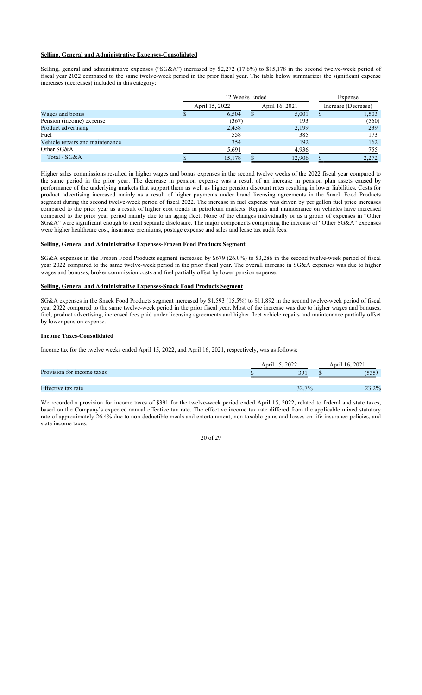## **Selling, General and Administrative Expenses-Consolidated**

Selling, general and administrative expenses ("SG&A") increased by \$2,272 (17.6%) to \$15,178 in the second twelve-week period of fiscal year 2022 compared to the same twelve-week period in the prior fiscal year. The table below summarizes the significant expense increases (decreases) included in this category:

|                                 | 12 Weeks Ended |                |  | Expense        |  |                     |
|---------------------------------|----------------|----------------|--|----------------|--|---------------------|
|                                 |                | April 15, 2022 |  | April 16, 2021 |  | Increase (Decrease) |
| Wages and bonus                 |                | 6.504          |  | 5,001          |  | 1,503               |
| Pension (income) expense        |                | (367)          |  | 193            |  | (560)               |
| Product advertising             |                | 2,438          |  | 2,199          |  | 239                 |
| Fuel                            |                | 558            |  | 385            |  | 173                 |
| Vehicle repairs and maintenance |                | 354            |  | 192            |  | 162                 |
| Other SG&A                      |                | 5,691          |  | 4,936          |  | 755                 |
| Total - SG&A                    |                | 15,178         |  | 12,906         |  | 2,272               |

Higher sales commissions resulted in higher wages and bonus expenses in the second twelve weeks of the 2022 fiscal year compared to the same period in the prior year. The decrease in pension expense was a result of an increase in pension plan assets caused by performance of the underlying markets that support them as well as higher pension discount rates resulting in lower liabilities. Costs for product advertising increased mainly as a result of higher payments under brand licensing agreements in the Snack Food Products segment during the second twelve-week period of fiscal 2022. The increase in fuel expense was driven by per gallon fuel price increases compared to the prior year as a result of higher cost trends in petroleum markets. Repairs and maintenance on vehicles have increased compared to the prior year period mainly due to an aging fleet. None of the changes individually or as a group of expenses in "Other SG&A" were significant enough to merit separate disclosure. The major components comprising the increase of "Other SG&A" expenses were higher healthcare cost, insurance premiums, postage expense and sales and lease tax audit fees.

#### **Selling, General and Administrative Expenses-Frozen Food Products Segment**

SG&A expenses in the Frozen Food Products segment increased by \$679 (26.0%) to \$3,286 in the second twelve-week period of fiscal year 2022 compared to the same twelve-week period in the prior fiscal year. The overall increase in SG&A expenses was due to higher wages and bonuses, broker commission costs and fuel partially offset by lower pension expense.

## **Selling, General and Administrative Expenses-Snack Food Products Segment**

SG&A expenses in the Snack Food Products segment increased by \$1,593 (15.5%) to \$11,892 in the second twelve-week period of fiscal year 2022 compared to the same twelve-week period in the prior fiscal year. Most of the increase was due to higher wages and bonuses, fuel, product advertising, increased fees paid under licensing agreements and higher fleet vehicle repairs and maintenance partially offset by lower pension expense.

#### **Income Taxes-Consolidated**

Income tax for the twelve weeks ended April 15, 2022, and April 16, 2021, respectively, was as follows:

|                            | April 15, 2022 |       |  | April 16, 2021 |  |  |
|----------------------------|----------------|-------|--|----------------|--|--|
| Provision for income taxes |                | 391   |  |                |  |  |
|                            |                |       |  |                |  |  |
| Effective tax rate         |                | 32.7% |  | 23.2%          |  |  |

We recorded a provision for income taxes of \$391 for the twelve-week period ended April 15, 2022, related to federal and state taxes, based on the Company's expected annual effective tax rate. The effective income tax rate differed from the applicable mixed statutory rate of approximately 26.4% due to non-deductible meals and entertainment, non-taxable gains and losses on life insurance policies, and state income taxes.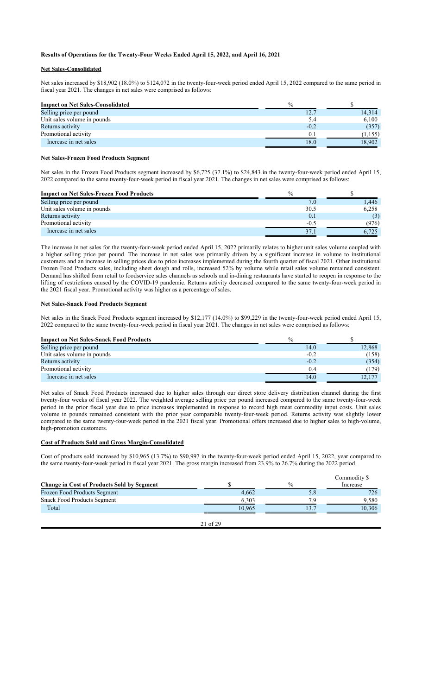## **Results of Operations for the Twenty-Four Weeks Ended April 15, 2022, and April 16, 2021**

## **Net Sales-Consolidated**

Net sales increased by \$18,902 (18.0%) to \$124,072 in the twenty-four-week period ended April 15, 2022 compared to the same period in fiscal year 2021. The changes in net sales were comprised as follows:

| <b>Impact on Net Sales-Consolidated</b> | $\frac{6}{6}$ |          |
|-----------------------------------------|---------------|----------|
| Selling price per pound                 | 12.7          | 14,314   |
| Unit sales volume in pounds             | 5.4           | 6,100    |
| Returns activity                        | $-0.2$        | (357)    |
| Promotional activity                    | 0.1           | (1, 155) |
| Increase in net sales                   | 18.0          | 18,902   |

#### **Net Sales-Frozen Food Products Segment**

Net sales in the Frozen Food Products segment increased by \$6,725 (37.1%) to \$24,843 in the twenty-four-week period ended April 15, 2022 compared to the same twenty-four-week period in fiscal year 2021. The changes in net sales were comprised as follows:

| <b>Impact on Net Sales-Frozen Food Products</b> | $\frac{0}{0}$ |       |
|-------------------------------------------------|---------------|-------|
| Selling price per pound                         | 7.0           | 1,446 |
| Unit sales volume in pounds                     | 30.5          | 6.258 |
| Returns activity                                | 0.1           | (3)   |
| Promotional activity                            | $-0.5$        | (976) |
| Increase in net sales                           | 37.1          | 6.725 |

The increase in net sales for the twenty-four-week period ended April 15, 2022 primarily relates to higher unit sales volume coupled with a higher selling price per pound. The increase in net sales was primarily driven by a significant increase in volume to institutional customers and an increase in selling prices due to price increases implemented during the fourth quarter of fiscal 2021. Other institutional Frozen Food Products sales, including sheet dough and rolls, increased 52% by volume while retail sales volume remained consistent. Demand has shifted from retail to foodservice sales channels as schools and in-dining restaurants have started to reopen in response to the lifting of restrictions caused by the COVID-19 pandemic. Returns activity decreased compared to the same twenty-four-week period in the 2021 fiscal year. Promotional activity was higher as a percentage of sales.

## **Net Sales-Snack Food Products Segment**

Net sales in the Snack Food Products segment increased by \$12,177 (14.0%) to \$99,229 in the twenty-four-week period ended April 15, 2022 compared to the same twenty-four-week period in fiscal year 2021. The changes in net sales were comprised as follows:

| <b>Impact on Net Sales-Snack Food Products</b> | $\frac{6}{6}$ |        |
|------------------------------------------------|---------------|--------|
| Selling price per pound                        | 14.0          | 12,868 |
| Unit sales volume in pounds                    | $-0.2$        | (158)  |
| Returns activity                               | $-0.2$        | (354)  |
| Promotional activity                           | 0.4           | (179)  |
| Increase in net sales                          | 14.0          |        |

Net sales of Snack Food Products increased due to higher sales through our direct store delivery distribution channel during the first twenty-four weeks of fiscal year 2022. The weighted average selling price per pound increased compared to the same twenty-four-week period in the prior fiscal year due to price increases implemented in response to record high meat commodity input costs. Unit sales volume in pounds remained consistent with the prior year comparable twenty-four-week period. Returns activity was slightly lower compared to the same twenty-four-week period in the 2021 fiscal year. Promotional offers increased due to higher sales to high-volume, high-promotion customers.

## **Cost of Products Sold and Gross Margin-Consolidated**

Cost of products sold increased by \$10,965 (13.7%) to \$90,997 in the twenty-four-week period ended April 15, 2022, year compared to the same twenty-four-week period in fiscal year 2021. The gross margin increased from 23.9% to 26.7% during the 2022 period.

|                                                   |        |               | Commodity \$ |
|---------------------------------------------------|--------|---------------|--------------|
| <b>Change in Cost of Products Sold by Segment</b> |        | $\frac{0}{0}$ | Increase     |
| Frozen Food Products Segment                      | 4,662  | 5.8           | 726          |
| <b>Snack Food Products Segment</b>                | 6.303  | 7.9           | 9,580        |
| Total                                             | 10.965 | 13.7          | 10,306       |
|                                                   |        |               |              |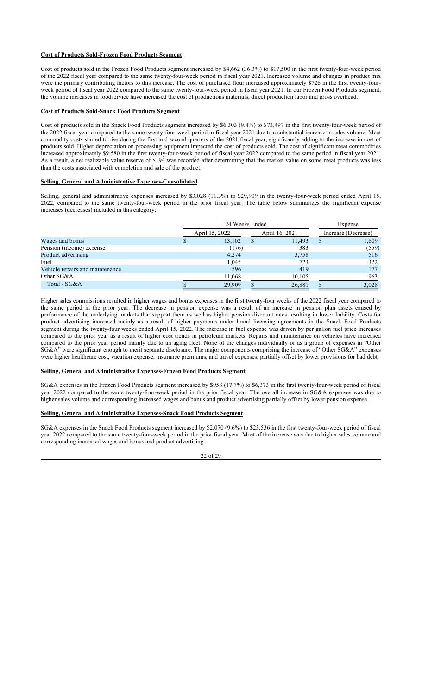## **Cost of Products Sold-Frozen Food Products Segment**

Cost of products sold in the Frozen Food Products segment increased by \$4,662 (36.3%) to \$17,500 in the first twenty-four-week period of the 2022 fiscal year compared to the same twenty-four-week period in fiscal year 2021. Increased volume and changes in product mix were the primary contributing factors to this increase. The cost of purchased flour increased approximately \$726 in the first twenty-fourweek period of fiscal year 2022 compared to the same twenty-four-week period in fiscal year 2021. In our Frozen Food Products segment, the volume increases in foodservice have increased the cost of productions materials, direct production labor and gross overhead.

#### **Cost of Products Sold-Snack Food Products Segment**

Cost of products sold in the Snack Food Products segment increased by \$6,303 (9.4%) to \$73,497 in the first twenty-four-week period of the 2022 fiscal year compared to the same twenty-four-week period in fiscal year 2021 due to a substantial increase in sales volume. Meat commodity costs started to rise during the first and second quarters of the 2021 fiscal year, significantly adding to the increase in cost of products sold. Higher depreciation on processing equipment impacted the cost of products sold. The cost of significant meat commodities increased approximately \$9,580 in the first twenty-four-week period of fiscal year 2022 compared to the same period in fiscal year 2021. As a result, a net realizable value reserve of \$194 was recorded after determining that the market value on some meat products was less than the costs associated with completion and sale of the product.

#### **Selling, General and Administrative Expenses-Consolidated**

Selling, general and administrative expenses increased by \$3,028 (11.3%) to \$29,909 in the twenty-four-week period ended April 15, 2022, compared to the same twenty-four-week period in the prior fiscal year. The table below summarizes the significant expense increases (decreases) included in this category:

|                                 | 24 Weeks Ended |  |                | Expense |                     |
|---------------------------------|----------------|--|----------------|---------|---------------------|
|                                 | April 15, 2022 |  | April 16, 2021 |         | Increase (Decrease) |
| Wages and bonus                 | 13,102         |  | 11,493         |         | 1,609               |
| Pension (income) expense        | (176)          |  | 383            |         | (559)               |
| Product advertising             | 4,274          |  | 3,758          |         | 516                 |
| Fuel                            | 1,045          |  | 723            |         | 322                 |
| Vehicle repairs and maintenance | 596            |  | 419            |         | 177                 |
| Other SG&A                      | 11.068         |  | 10,105         |         | 963                 |
| Total - SG&A                    | 29,909         |  | 26,881         |         | 3,028               |

Higher sales commissions resulted in higher wages and bonus expenses in the first twenty-four weeks of the 2022 fiscal year compared to the same period in the prior year. The decrease in pension expense was a result of an increase in pension plan assets caused by performance of the underlying markets that support them as well as higher pension discount rates resulting in lower liability. Costs for product advertising increased mainly as a result of higher payments under brand licensing agreements in the Snack Food Products segment during the twenty-four weeks ended April 15, 2022. The increase in fuel expense was driven by per gallon fuel price increases compared to the prior year as a result of higher cost trends in petroleum markets. Repairs and maintenance on vehicles have increased compared to the prior year period mainly due to an aging fleet. None of the changes individually or as a group of expenses in "Other SG&A" were significant enough to merit separate disclosure. The major components comprising the increase of "Other SG&A" expenses were higher healthcare cost, vacation expense, insurance premiums, and travel expenses, partially offset by lower provisions for bad debt.

## **Selling, General and Administrative Expenses-Frozen Food Products Segment**

SG&A expenses in the Frozen Food Products segment increased by \$958 (17.7%) to \$6,373 in the first twenty-four-week period of fiscal year 2022 compared to the same twenty-four-week period in the prior fiscal year. The overall increase in SG&A expenses was due to higher sales volume and corresponding increased wages and bonus and product advertising partially offset by lower pension expense.

#### **Selling, General and Administrative Expenses-Snack Food Products Segment**

SG&A expenses in the Snack Food Products segment increased by \$2,070 (9.6%) to \$23,536 in the first twenty-four-week period of fiscal year 2022 compared to the same twenty-four-week period in the prior fiscal year. Most of the increase was due to higher sales volume and corresponding increased wages and bonus and product advertising.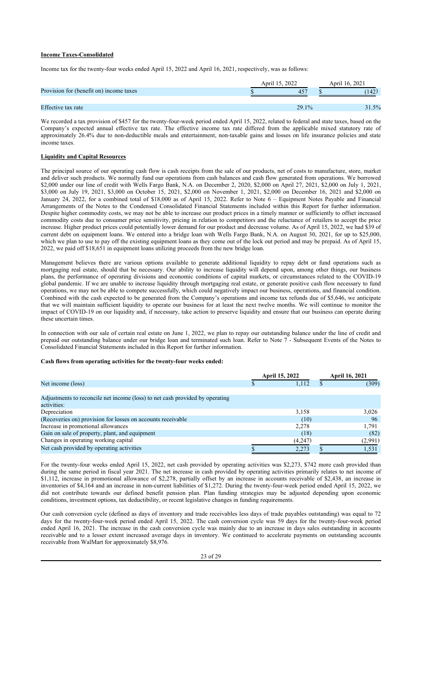## **Income Taxes-Consolidated**

Income tax for the twenty-four weeks ended April 15, 2022 and April 16, 2021, respectively, was as follows:

|                                         | April 15, 2022 |       |  | April 16, 2021 |  |  |
|-----------------------------------------|----------------|-------|--|----------------|--|--|
| Provision for (benefit on) income taxes |                |       |  | 142            |  |  |
|                                         |                |       |  |                |  |  |
| Effective tax rate                      |                | 29.1% |  | 31.5%          |  |  |

We recorded a tax provision of \$457 for the twenty-four-week period ended April 15, 2022, related to federal and state taxes, based on the Company's expected annual effective tax rate. The effective income tax rate differed from the applicable mixed statutory rate of approximately 26.4% due to non-deductible meals and entertainment, non-taxable gains and losses on life insurance policies and state income taxes.

## **Liquidity and Capital Resources**

The principal source of our operating cash flow is cash receipts from the sale of our products, net of costs to manufacture, store, market and deliver such products. We normally fund our operations from cash balances and cash flow generated from operations. We borrowed \$2,000 under our line of credit with Wells Fargo Bank, N.A. on December 2, 2020, \$2,000 on April 27, 2021, \$2,000 on July 1, 2021, \$3,000 on July 19, 2021, \$3,000 on October 15, 2021, \$2,000 on November 1, 2021, \$2,000 on December 16, 2021 and \$2,000 on January 24, 2022, for a combined total of \$18,000 as of April 15, 2022. Refer to Note 6 – Equipment Notes Payable and Financial Arrangements of the Notes to the Condensed Consolidated Financial Statements included within this Report for further information. Despite higher commodity costs, we may not be able to increase our product prices in a timely manner or sufficiently to offset increased commodity costs due to consumer price sensitivity, pricing in relation to competitors and the reluctance of retailers to accept the price increase. Higher product prices could potentially lower demand for our product and decrease volume. As of April 15, 2022, we had \$39 of current debt on equipment loans. We entered into a bridge loan with Wells Fargo Bank, N.A. on August 30, 2021, for up to \$25,000, which we plan to use to pay off the existing equipment loans as they come out of the lock out period and may be prepaid. As of April 15, 2022, we paid off \$18,651 in equipment loans utilizing proceeds from the new bridge loan.

Management believes there are various options available to generate additional liquidity to repay debt or fund operations such as mortgaging real estate, should that be necessary. Our ability to increase liquidity will depend upon, among other things, our business plans, the performance of operating divisions and economic conditions of capital markets, or circumstances related to the COVID-19 global pandemic. If we are unable to increase liquidity through mortgaging real estate, or generate positive cash flow necessary to fund operations, we may not be able to compete successfully, which could negatively impact our business, operations, and financial condition. Combined with the cash expected to be generated from the Company's operations and income tax refunds due of \$5,646, we anticipate that we will maintain sufficient liquidity to operate our business for at least the next twelve months. We will continue to monitor the impact of COVID-19 on our liquidity and, if necessary, take action to preserve liquidity and ensure that our business can operate during these uncertain times.

In connection with our sale of certain real estate on June 1, 2022, we plan to repay our outstanding balance under the line of credit and prepaid our outstanding balance under our bridge loan and terminated such loan. Refer to Note 7 - Subsequent Events of the Notes to Consolidated Financial Statements included in this Report for further information.

#### **Cash flows from operating activities for the twenty-four weeks ended:**

|                                                                              |  | <b>April 15, 2022</b> | <b>April 16, 2021</b> |         |
|------------------------------------------------------------------------------|--|-----------------------|-----------------------|---------|
| Net income (loss)                                                            |  | 1,112                 |                       | (309)   |
|                                                                              |  |                       |                       |         |
| Adjustments to reconcile net income (loss) to net cash provided by operating |  |                       |                       |         |
| activities:                                                                  |  |                       |                       |         |
| Depreciation                                                                 |  | 3,158                 |                       | 3,026   |
| (Recoveries on) provision for losses on accounts receivable                  |  | (10)                  |                       | 96      |
| Increase in promotional allowances                                           |  | 2,278                 |                       | 1,791   |
| Gain on sale of property, plant, and equipment                               |  | (18)                  |                       | (82)    |
| Changes in operating working capital                                         |  | (4,247)               |                       | (2,991) |
| Net cash provided by operating activities                                    |  | 2,273                 |                       | 1,531   |

For the twenty-four weeks ended April 15, 2022, net cash provided by operating activities was \$2,273, \$742 more cash provided than during the same period in fiscal year 2021. The net increase in cash provided by operating activities primarily relates to net income of \$1,112, increase in promotional allowance of \$2,278, partially offset by an increase in accounts receivable of \$2,438, an increase in inventories of \$4,164 and an increase in non-current liabilities of \$1,272. During the twenty-four-week period ended April 15, 2022, we did not contribute towards our defined benefit pension plan. Plan funding strategies may be adjusted depending upon economic conditions, investment options, tax deductibility, or recent legislative changes in funding requirements.

Our cash conversion cycle (defined as days of inventory and trade receivables less days of trade payables outstanding) was equal to 72 days for the twenty-four-week period ended April 15, 2022. The cash conversion cycle was 59 days for the twenty-four-week period ended April 16, 2021. The increase in the cash conversion cycle was mainly due to an increase in days sales outstanding in accounts receivable and to a lesser extent increased average days in inventory. We continued to accelerate payments on outstanding accounts receivable from WalMart for approximately \$8,976.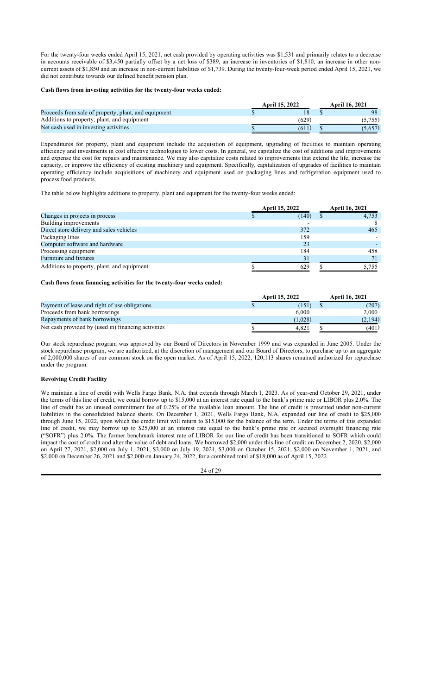For the twenty-four weeks ended April 15, 2021, net cash provided by operating activities was \$1,531 and primarily relates to a decrease in accounts receivable of \$3,450 partially offset by a net loss of \$389, an increase in inventories of \$1,810, an increase in other noncurrent assets of \$1,850 and an increase in non-current liabilities of \$1,739. During the twenty-four-week period ended April 15, 2021, we did not contribute towards our defined benefit pension plan.

## **Cash flows from investing activities for the twenty-four weeks ended:**

|                                                      | <b>April 15, 2022</b> |       | <b>April 16, 2021</b> |         |
|------------------------------------------------------|-----------------------|-------|-----------------------|---------|
| Proceeds from sale of property, plant, and equipment |                       |       |                       |         |
| Additions to property, plant, and equipment          |                       | (629) |                       |         |
| Net cash used in investing activities                |                       | (611  |                       | (5.657) |

Expenditures for property, plant and equipment include the acquisition of equipment, upgrading of facilities to maintain operating efficiency and investments in cost effective technologies to lower costs. In general, we capitalize the cost of additions and improvements and expense the cost for repairs and maintenance. We may also capitalize costs related to improvements that extend the life, increase the capacity, or improve the efficiency of existing machinery and equipment. Specifically, capitalization of upgrades of facilities to maintain operating efficiency include acquisitions of machinery and equipment used on packaging lines and refrigeration equipment used to process food products.

The table below highlights additions to property, plant and equipment for the twenty-four weeks ended:

|                                             | <b>April 15, 2022</b> |       | <b>April 16, 2021</b> |  |
|---------------------------------------------|-----------------------|-------|-----------------------|--|
| Changes in projects in process              |                       | (140) | 4,753                 |  |
| Building improvements                       |                       |       |                       |  |
| Direct store delivery and sales vehicles    |                       | 372   | 465                   |  |
| Packaging lines                             |                       | 159   |                       |  |
| Computer software and hardware              |                       | 23    |                       |  |
| Processing equipment                        |                       | 184   | 458                   |  |
| Furniture and fixtures                      |                       | 31    |                       |  |
| Additions to property, plant, and equipment |                       | 629   | 5.755                 |  |

## **Cash flows from financing activities for the twenty-four weeks ended:**

|                                                     | <b>April 15, 2022</b> | <b>April 16, 2021</b> |
|-----------------------------------------------------|-----------------------|-----------------------|
| Payment of lease and right of use obligations       | (151)                 | (207)                 |
| Proceeds from bank borrowings                       | 6.000                 | 2.000                 |
| Repayments of bank borrowings                       | (1.028)               | (2.194)               |
| Net cash provided by (used in) financing activities | 4.821                 | (401)                 |

Our stock repurchase program was approved by our Board of Directors in November 1999 and was expanded in June 2005. Under the stock repurchase program, we are authorized, at the discretion of management and our Board of Directors, to purchase up to an aggregate of 2,000,000 shares of our common stock on the open market. As of April 15, 2022, 120,113 shares remained authorized for repurchase under the program.

## **Revolving Credit Facility**

We maintain a line of credit with Wells Fargo Bank, N.A. that extends through March 1, 2023. As of year-end October 29, 2021, under the terms of this line of credit, we could borrow up to \$15,000 at an interest rate equal to the bank's prime rate or LIBOR plus 2.0%. The line of credit has an unused commitment fee of 0.25% of the available loan amount. The line of credit is presented under non-current liabilities in the consolidated balance sheets. On December 1, 2021, Wells Fargo Bank, N.A. expanded our line of credit to \$25,000 through June 15, 2022, upon which the credit limit will return to \$15,000 for the balance of the term. Under the terms of this expanded line of credit, we may borrow up to \$25,000 at an interest rate equal to the bank's prime rate or secured overnight financing rate ("SOFR") plus 2.0%. The former benchmark interest rate of LIBOR for our line of credit has been transitioned to SOFR which could impact the cost of credit and alter the value of debt and loans. We borrowed \$2,000 under this line of credit on December 2, 2020, \$2,000 on April 27, 2021, \$2,000 on July 1, 2021, \$3,000 on July 19, 2021, \$3,000 on October 15, 2021, \$2,000 on November 1, 2021, and \$2,000 on December 26, 2021 and \$2,000 on January 24, 2022, for a combined total of \$18,000 as of April 15, 2022.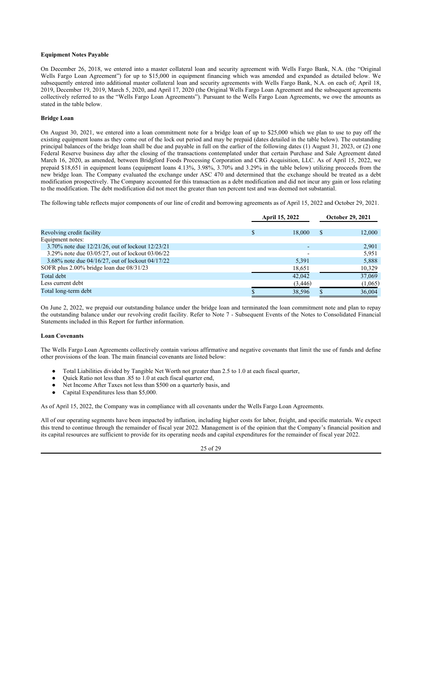## **Equipment Notes Payable**

On December 26, 2018, we entered into a master collateral loan and security agreement with Wells Fargo Bank, N.A. (the "Original Wells Fargo Loan Agreement") for up to \$15,000 in equipment financing which was amended and expanded as detailed below. We subsequently entered into additional master collateral loan and security agreements with Wells Fargo Bank, N.A. on each of; April 18, 2019, December 19, 2019, March 5, 2020, and April 17, 2020 (the Original Wells Fargo Loan Agreement and the subsequent agreements collectively referred to as the "Wells Fargo Loan Agreements"). Pursuant to the Wells Fargo Loan Agreements, we owe the amounts as stated in the table below.

## **Bridge Loan**

On August 30, 2021, we entered into a loan commitment note for a bridge loan of up to \$25,000 which we plan to use to pay off the existing equipment loans as they come out of the lock out period and may be prepaid (dates detailed in the table below). The outstanding principal balances of the bridge loan shall be due and payable in full on the earlier of the following dates (1) August 31, 2023, or (2) one Federal Reserve business day after the closing of the transactions contemplated under that certain Purchase and Sale Agreement dated March 16, 2020, as amended, between Bridgford Foods Processing Corporation and CRG Acquisition, LLC. As of April 15, 2022, we prepaid \$18,651 in equipment loans (equipment loans 4.13%, 3.98%, 3.70% and 3.29% in the table below) utilizing proceeds from the new bridge loan. The Company evaluated the exchange under ASC 470 and determined that the exchange should be treated as a debt modification prospectively. The Company accounted for this transaction as a debt modification and did not incur any gain or loss relating to the modification. The debt modification did not meet the greater than ten percent test and was deemed not substantial.

The following table reflects major components of our line of credit and borrowing agreements as of April 15, 2022 and October 29, 2021.

|                                                  | <b>April 15, 2022</b> |         |     | <b>October 29, 2021</b> |  |
|--------------------------------------------------|-----------------------|---------|-----|-------------------------|--|
| Revolving credit facility                        |                       | 18,000  | \$. | 12,000                  |  |
| Equipment notes:                                 |                       |         |     |                         |  |
| 3.70% note due 12/21/26, out of lockout 12/23/21 |                       |         |     | 2,901                   |  |
| 3.29% note due 03/05/27, out of lockout 03/06/22 |                       |         |     | 5,951                   |  |
| 3.68% note due 04/16/27, out of lockout 04/17/22 |                       | 5,391   |     | 5,888                   |  |
| SOFR plus 2.00% bridge loan due 08/31/23         |                       | 18,651  |     | 10,329                  |  |
| Total debt                                       |                       | 42,042  |     | 37,069                  |  |
| Less current debt                                |                       | (3,446) |     | (1,065)                 |  |
| Total long-term debt                             |                       | 38,596  |     | 36,004                  |  |

On June 2, 2022, we prepaid our outstanding balance under the bridge loan and terminated the loan commitment note and plan to repay the outstanding balance under our revolving credit facility. Refer to Note 7 - Subsequent Events of the Notes to Consolidated Financial Statements included in this Report for further information.

### **Loan Covenants**

The Wells Fargo Loan Agreements collectively contain various affirmative and negative covenants that limit the use of funds and define other provisions of the loan. The main financial covenants are listed below:

- Total Liabilities divided by Tangible Net Worth not greater than 2.5 to 1.0 at each fiscal quarter,
- Ouick Ratio not less than .85 to 1.0 at each fiscal quarter end,
- Net Income After Taxes not less than \$500 on a quarterly basis, and
- Capital Expenditures less than \$5,000.

As of April 15, 2022, the Company was in compliance with all covenants under the Wells Fargo Loan Agreements.

All of our operating segments have been impacted by inflation, including higher costs for labor, freight, and specific materials. We expect this trend to continue through the remainder of fiscal year 2022. Management is of the opinion that the Company's financial position and its capital resources are sufficient to provide for its operating needs and capital expenditures for the remainder of fiscal year 2022.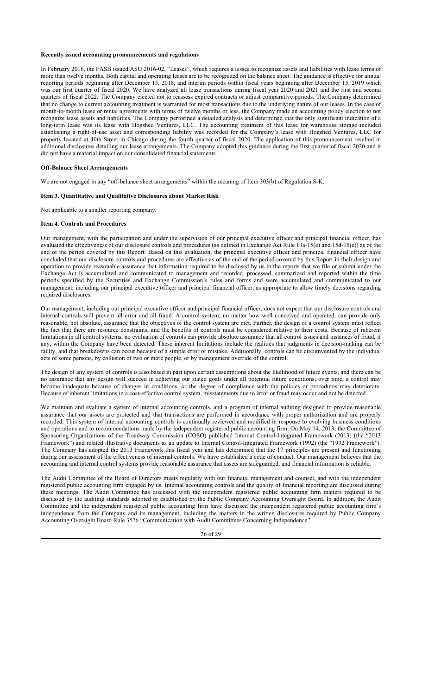## **Recently issued accounting pronouncements and regulations**

In February 2016, the FASB issued ASU 2016-02, "Leases", which requires a lessee to recognize assets and liabilities with lease terms of more than twelve months. Both capital and operating leases are to be recognized on the balance sheet. The guidance is effective for annual reporting periods beginning after December 15, 2018, and interim periods within fiscal years beginning after December 15, 2019 which was our first quarter of fiscal 2020. We have analyzed all lease transactions during fiscal year 2020 and 2021 and the first and second quarters of fiscal 2022. The Company elected not to reassess expired contracts or adjust comparative periods. The Company determined that no change to current accounting treatment is warranted for most transactions due to the underlying nature of our leases. In the case of month-to-month lease or rental agreements with terms of twelve months or less, the Company made an accounting policy election to not recognize lease assets and liabilities. The Company performed a detailed analysis and determined that the only significant indication of a long-term lease was its lease with Hogshed Ventures, LLC. The accounting treatment of this lease for warehouse storage included establishing a right-of-use asset and corresponding liability was recorded for the Company's lease with Hogshed Ventures, LLC for property located at 40th Street in Chicago during the fourth quarter of fiscal 2020. The application of this pronouncement resulted in additional disclosures detailing our lease arrangements. The Company adopted this guidance during the first quarter of fiscal 2020 and it did not have a material impact on our consolidated financial statements.

#### **Off-Balance Sheet Arrangements**

We are not engaged in any "off-balance sheet arrangements" within the meaning of Item 303(b) of Regulation S-K.

#### **Item 3. Quantitative and Qualitative Disclosures about Market Risk**

Not applicable to a smaller reporting company.

#### **Item 4. Controls and Procedures**

Our management, with the participation and under the supervision of our principal executive officer and principal financial officer, has evaluated the effectiveness of our disclosure controls and procedures (as defined in Exchange Act Rule 13a-15(e) and 15d-15(e)) as of the end of the period covered by this Report. Based on this evaluation, the principal executive officer and principal financial officer have concluded that our disclosure controls and procedures are effective as of the end of the period covered by this Report in their design and operation to provide reasonable assurance that information required to be disclosed by us in the reports that we file or submit under the Exchange Act is accumulated and communicated to management and recorded, processed, summarized and reported within the time periods specified by the Securities and Exchange Commission's rules and forms and were accumulated and communicated to our management, including our principal executive officer and principal financial officer, as appropriate to allow timely decisions regarding required disclosures.

Our management, including our principal executive officer and principal financial officer, does not expect that our disclosure controls and internal controls will prevent all error and all fraud. A control system, no matter how well conceived and operated, can provide only reasonable, not absolute, assurance that the objectives of the control system are met. Further, the design of a control system must reflect the fact that there are resource constraints, and the benefits of controls must be considered relative to their costs. Because of inherent limitations in all control systems, no evaluation of controls can provide absolute assurance that all control issues and instances of fraud, if any, within the Company have been detected. These inherent limitations include the realities that judgments in decision-making can be faulty, and that breakdowns can occur because of a simple error or mistake. Additionally, controls can be circumvented by the individual acts of some persons, by collusion of two or more people, or by management override of the control.

The design of any system of controls is also based in part upon certain assumptions about the likelihood of future events, and there can be no assurance that any design will succeed in achieving our stated goals under all potential future conditions; over time, a control may become inadequate because of changes in conditions, or the degree of compliance with the policies or procedures may deteriorate. Because of inherent limitations in a cost-effective control system, misstatements due to error or fraud may occur and not be detected.

We maintain and evaluate a system of internal accounting controls, and a program of internal auditing designed to provide reasonable assurance that our assets are protected and that transactions are performed in accordance with proper authorization and are properly recorded. This system of internal accounting controls is continually reviewed and modified in response to evolving business conditions and operations and to recommendations made by the independent registered public accounting firm. On May 14, 2013, the Committee of Sponsoring Organizations of the Treadway Commission (COSO) published Internal Control-Integrated Framework (2013) (the "2013 Framework") and related illustrative documents as an update to Internal Control-Integrated Framework (1992) (the "1992 Framework"). The Company has adopted the 2013 Framework this fiscal year and has determined that the 17 principles are present and functioning during our assessment of the effectiveness of internal controls. We have established a code of conduct. Our management believes that the accounting and internal control systems provide reasonable assurance that assets are safeguarded, and financial information is reliable.

The Audit Committee of the Board of Directors meets regularly with our financial management and counsel, and with the independent registered public accounting firm engaged by us. Internal accounting controls and the quality of financial reporting are discussed during these meetings. The Audit Committee has discussed with the independent registered public accounting firm matters required to be discussed by the auditing standards adopted or established by the Public Company Accounting Oversight Board. In addition, the Audit Committee and the independent registered public accounting firm have discussed the independent registered public accounting firm's independence from the Company and its management, including the matters in the written disclosures required by Public Company Accounting Oversight Board Rule 3526 "Communication with Audit Committees Concerning Independence".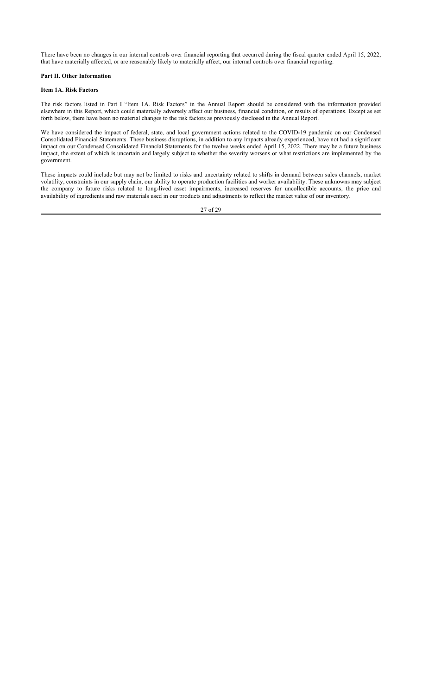There have been no changes in our internal controls over financial reporting that occurred during the fiscal quarter ended April 15, 2022, that have materially affected, or are reasonably likely to materially affect, our internal controls over financial reporting.

## **Part II. Other Information**

## **Item 1A. Risk Factors**

The risk factors listed in Part I "Item 1A. Risk Factors" in the Annual Report should be considered with the information provided elsewhere in this Report, which could materially adversely affect our business, financial condition, or results of operations. Except as set forth below, there have been no material changes to the risk factors as previously disclosed in the Annual Report.

We have considered the impact of federal, state, and local government actions related to the COVID-19 pandemic on our Condensed Consolidated Financial Statements. These business disruptions, in addition to any impacts already experienced, have not had a significant impact on our Condensed Consolidated Financial Statements for the twelve weeks ended April 15, 2022. There may be a future business impact, the extent of which is uncertain and largely subject to whether the severity worsens or what restrictions are implemented by the government.

These impacts could include but may not be limited to risks and uncertainty related to shifts in demand between sales channels, market volatility, constraints in our supply chain, our ability to operate production facilities and worker availability. These unknowns may subject the company to future risks related to long-lived asset impairments, increased reserves for uncollectible accounts, the price and availability of ingredients and raw materials used in our products and adjustments to reflect the market value of our inventory.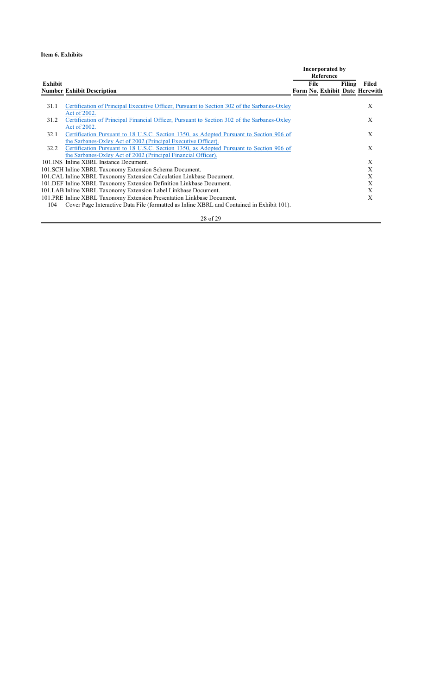# **Item 6. Exhibits**

| Reference                                                                                           |                 |
|-----------------------------------------------------------------------------------------------------|-----------------|
| File<br><b>Exhibit</b>                                                                              | Filing<br>Filed |
| Form No. Exhibit Date Herewith<br><b>Number Exhibit Description</b>                                 |                 |
|                                                                                                     |                 |
| Certification of Principal Executive Officer, Pursuant to Section 302 of the Sarbanes-Oxley<br>31.1 | X               |
| Act of 2002.                                                                                        |                 |
| Certification of Principal Financial Officer, Pursuant to Section 302 of the Sarbanes-Oxley<br>31.2 | X               |
| Act of 2002.                                                                                        |                 |
| 32.1<br>Certification Pursuant to 18 U.S.C. Section 1350, as Adopted Pursuant to Section 906 of     | X               |
| the Sarbanes-Oxley Act of 2002 (Principal Executive Officer).                                       |                 |
| Certification Pursuant to 18 U.S.C. Section 1350, as Adopted Pursuant to Section 906 of<br>32.2     | X               |
| the Sarbanes-Oxley Act of 2002 (Principal Financial Officer).                                       |                 |
| 101. INS Inline XBRL Instance Document.                                                             | X               |
| 101.SCH Inline XBRL Taxonomy Extension Schema Document.                                             | X               |
| 101.CAL Inline XBRL Taxonomy Extension Calculation Linkbase Document.                               | X               |
| 101. DEF Inline XBRL Taxonomy Extension Definition Linkbase Document.                               | X               |
| 101. LAB Inline XBRL Taxonomy Extension Label Linkbase Document.                                    | X               |
| 101.PRE Inline XBRL Taxonomy Extension Presentation Linkbase Document.                              | X               |
| Cover Page Interactive Data File (formatted as Inline XBRL and Contained in Exhibit 101).<br>104    |                 |
|                                                                                                     |                 |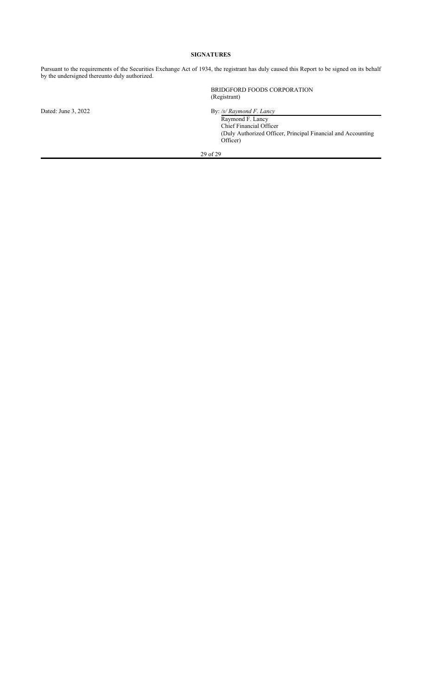## **SIGNATURES**

Pursuant to the requirements of the Securities Exchange Act of 1934, the registrant has duly caused this Report to be signed on its behalf by the undersigned thereunto duly authorized.

Dated: June 3, 2022 **By:** */s/ Raymond F. Lancy* 

BRIDGFORD FOODS CORPORATION (Registrant)

Raymond F. Lancy Chief Financial Officer (Duly Authorized Officer, Principal Financial and Accounting Officer)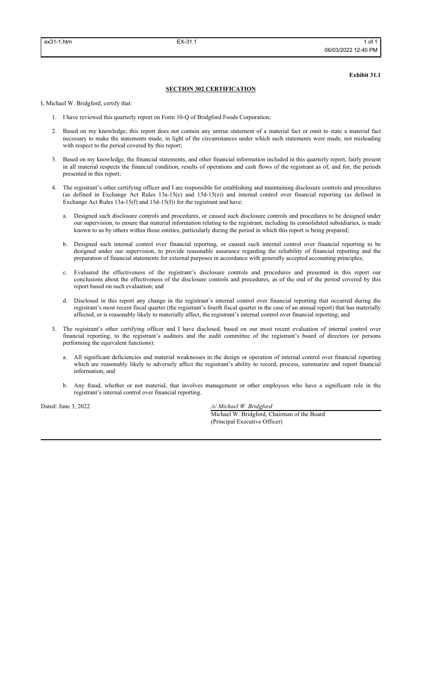#### **Exhibit 31.1**

#### **SECTION 302 CERTIFICATION**

I, Michael W. Bridgford, certify that:

- 1. I have reviewed this quarterly report on Form 10-Q of Bridgford Foods Corporation;
- 2. Based on my knowledge, this report does not contain any untrue statement of a material fact or omit to state a material fact necessary to make the statements made, in light of the circumstances under which such statements were made, not misleading with respect to the period covered by this report;
- 3. Based on my knowledge, the financial statements, and other financial information included in this quarterly report, fairly present in all material respects the financial condition, results of operations and cash flows of the registrant as of, and for, the periods presented in this report;
- 4. The registrant's other certifying officer and I are responsible for establishing and maintaining disclosure controls and procedures (as defined in Exchange Act Rules 13a-15(e) and 15d-15(e)) and internal control over financial reporting (as defined in Exchange Act Rules  $13a-15(f)$  and  $15d-15(f)$ ) for the registrant and have:
	- a. Designed such disclosure controls and procedures, or caused such disclosure controls and procedures to be designed under our supervision, to ensure that material information relating to the registrant, including its consolidated subsidiaries, is made known to us by others within those entities, particularly during the period in which this report is being prepared;
	- b. Designed such internal control over financial reporting, or caused such internal control over financial reporting to be designed under our supervision, to provide reasonable assurance regarding the reliability of financial reporting and the preparation of financial statements for external purposes in accordance with generally accepted accounting principles;
	- c. Evaluated the effectiveness of the registrant's disclosure controls and procedures and presented in this report our conclusions about the effectiveness of the disclosure controls and procedures, as of the end of the period covered by this report based on such evaluation; and
	- d. Disclosed in this report any change in the registrant's internal control over financial reporting that occurred during the registrant's most recent fiscal quarter (the registrant's fourth fiscal quarter in the case of an annual report) that has materially affected, or is reasonably likely to materially affect, the registrant's internal control over financial reporting; and
- 5. The registrant's other certifying officer and I have disclosed, based on our most recent evaluation of internal control over financial reporting, to the registrant's auditors and the audit committee of the registrant's board of directors (or persons performing the equivalent functions):
	- a. All significant deficiencies and material weaknesses in the design or operation of internal control over financial reporting which are reasonably likely to adversely affect the registrant's ability to record, process, summarize and report financial information; and
	- b. Any fraud, whether or not material, that involves management or other employees who have a significant role in the registrant's internal control over financial reporting.

Dated: June 3, 2022 */s/ Michael W. Bridgford* Michael W. Bridgford, Chairman of the Board (Principal Executive Officer)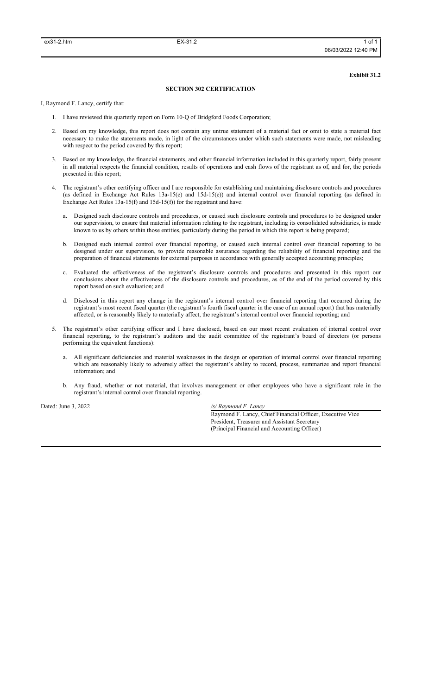#### **Exhibit 31.2**

#### **SECTION 302 CERTIFICATION**

I, Raymond F. Lancy, certify that:

- 1. I have reviewed this quarterly report on Form 10-Q of Bridgford Foods Corporation;
- 2. Based on my knowledge, this report does not contain any untrue statement of a material fact or omit to state a material fact necessary to make the statements made, in light of the circumstances under which such statements were made, not misleading with respect to the period covered by this report;
- 3. Based on my knowledge, the financial statements, and other financial information included in this quarterly report, fairly present in all material respects the financial condition, results of operations and cash flows of the registrant as of, and for, the periods presented in this report;
- 4. The registrant's other certifying officer and I are responsible for establishing and maintaining disclosure controls and procedures (as defined in Exchange Act Rules 13a-15(e) and 15d-15(e)) and internal control over financial reporting (as defined in Exchange Act Rules  $13a-15(f)$  and  $15d-15(f)$  for the registrant and have:
	- a. Designed such disclosure controls and procedures, or caused such disclosure controls and procedures to be designed under our supervision, to ensure that material information relating to the registrant, including its consolidated subsidiaries, is made known to us by others within those entities, particularly during the period in which this report is being prepared;
	- b. Designed such internal control over financial reporting, or caused such internal control over financial reporting to be designed under our supervision, to provide reasonable assurance regarding the reliability of financial reporting and the preparation of financial statements for external purposes in accordance with generally accepted accounting principles;
	- c. Evaluated the effectiveness of the registrant's disclosure controls and procedures and presented in this report our conclusions about the effectiveness of the disclosure controls and procedures, as of the end of the period covered by this report based on such evaluation; and
	- d. Disclosed in this report any change in the registrant's internal control over financial reporting that occurred during the registrant's most recent fiscal quarter (the registrant's fourth fiscal quarter in the case of an annual report) that has materially affected, or is reasonably likely to materially affect, the registrant's internal control over financial reporting; and
- 5. The registrant's other certifying officer and I have disclosed, based on our most recent evaluation of internal control over financial reporting, to the registrant's auditors and the audit committee of the registrant's board of directors (or persons performing the equivalent functions):
	- a. All significant deficiencies and material weaknesses in the design or operation of internal control over financial reporting which are reasonably likely to adversely affect the registrant's ability to record, process, summarize and report financial information; and
	- b. Any fraud, whether or not material, that involves management or other employees who have a significant role in the registrant's internal control over financial reporting.

Dated: June 3, 2022 */s/ Raymond F. Lancy*

Raymond F. Lancy, Chief Financial Officer, Executive Vice President, Treasurer and Assistant Secretary (Principal Financial and Accounting Officer)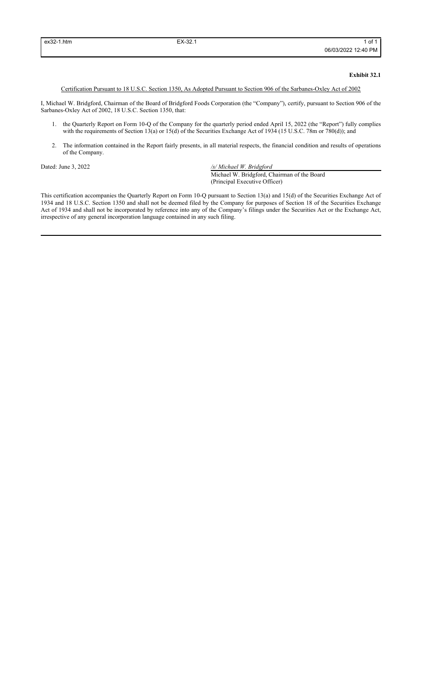#### **Exhibit 32.1**

## Certification Pursuant to 18 U.S.C. Section 1350, As Adopted Pursuant to Section 906 of the Sarbanes-Oxley Act of 2002

I, Michael W. Bridgford, Chairman of the Board of Bridgford Foods Corporation (the "Company"), certify, pursuant to Section 906 of the Sarbanes-Oxley Act of 2002, 18 U.S.C. Section 1350, that:

- 1. the Quarterly Report on Form 10-Q of the Company for the quarterly period ended April 15, 2022 (the "Report") fully complies with the requirements of Section 13(a) or 15(d) of the Securities Exchange Act of 1934 (15 U.S.C. 78m or 780(d)); and
- 2. The information contained in the Report fairly presents, in all material respects, the financial condition and results of operations of the Company.

Dated: June 3, 2022 */s/ Michael W. Bridgford*

Michael W. Bridgford, Chairman of the Board (Principal Executive Officer)

This certification accompanies the Quarterly Report on Form 10-Q pursuant to Section 13(a) and 15(d) of the Securities Exchange Act of 1934 and 18 U.S.C. Section 1350 and shall not be deemed filed by the Company for purposes of Section 18 of the Securities Exchange Act of 1934 and shall not be incorporated by reference into any of the Company's filings under the Securities Act or the Exchange Act, irrespective of any general incorporation language contained in any such filing.